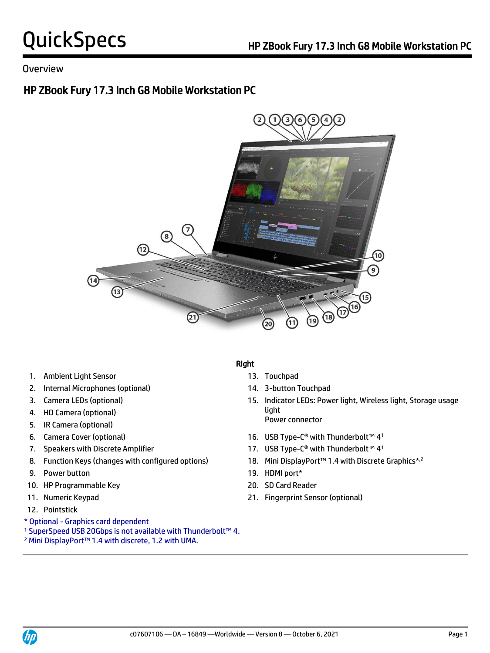## Overview

# HP ZBook Fury 17.3 Inch G8 Mobile Workstation PC



- 1. Ambient Light Sensor 13. Touchpad
- 2. Internal Microphones (optional) 14. 3-button Touchpad
- 
- 4. HD Camera (optional)
- 5. IR Camera (optional)
- 
- 
- 8. Function Keys (changes with configured options)
- 9. Power button **19. IDMI port**\*
- 10. HP Programmable Key 20. SD Card Reader
- 
- 12. Pointstick
- \* Optional Graphics card dependent
- <sup>1</sup> SuperSpeed USB 20Gbps is not available with Thunderbolt™ 4.
- <sup>2</sup> Mini DisplayPort™ 1.4 with discrete, 1.2 with UMA.

## Right

- 
- 
- 3. Camera LEDs (optional) 15. Indicator LEDs: Power light, Wireless light, Storage usage light Power connector
- 6. Camera Cover (optional) 16. USB Type-C® with Thunderbolt™ 4 1
- 7. Speakers with Discrete Amplifier 17. USB Type-C® with Thunderbolt™ 41
	- 18. Mini DisplayPort™ 1.4 with Discrete Graphics\*,2
	-
	-
- 11. Numeric Keypad 21. Fingerprint Sensor (optional)

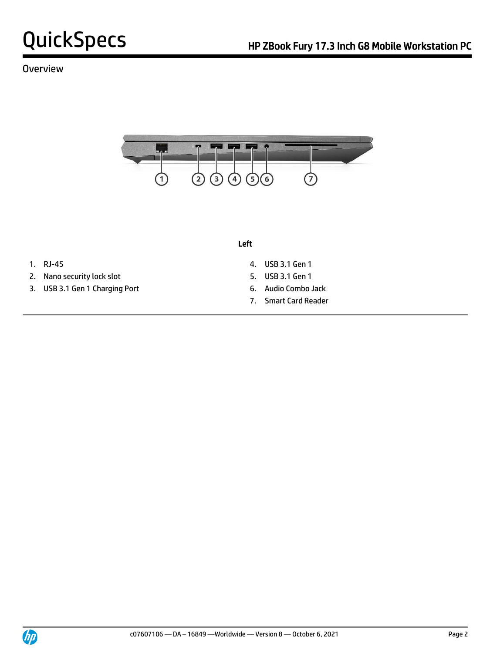

## **Overview**



### Left

- 
- 2. Nano security lock slot 5. USB 3.1 Gen 1
- 3. USB 3.1 Gen 1 Charging Port 6. Audio Combo Jack
- 1. RJ-45 4. USB 3.1 Gen 1
	-
	-
	- 7. Smart Card Reader

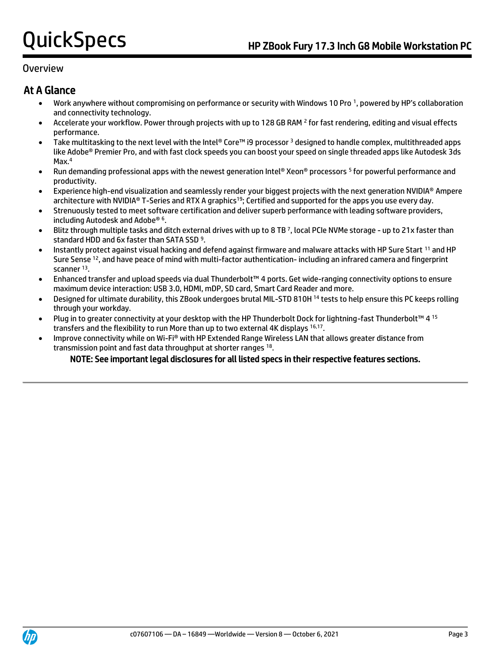## Overview

# At A Glance

- Work anywhere without compromising on performance or security with Windows 10 Pro <sup>1</sup> , powered by HP's collaboration and connectivity technology.
- Accelerate your workflow. Power through projects with up to 128 GB RAM <sup>2</sup> for fast rendering, editing and visual effects performance.
- Take multitasking to the next level with the Intel® Core™ i9 processor  $3$  designed to handle complex, multithreaded apps like Adobe® Premier Pro, and with fast clock speeds you can boost your speed on single threaded apps like Autodesk 3ds Max.<sup>4</sup>
- Run demanding professional apps with the newest generation Intel® Xeon® processors <sup>5</sup> for powerful performance and productivity.
- Experience high-end visualization and seamlessly render your biggest projects with the next generation NVIDIA® Ampere architecture with NVIDIA® T-Series and RTX A graphics<sup>19</sup>; Certified and supported for the apps you use every day.
- Strenuously tested to meet software certification and deliver superb performance with leading software providers, including Autodesk and Adobe® <sup>6</sup> .
- Blitz through multiple tasks and ditch external drives with up to 8 TB <sup>7</sup> , local PCIe NVMe storage up to 21x faster than standard HDD and 6x faster than SATA SSD<sup>9</sup>.
- Instantly protect against visual hacking and defend against firmware and malware attacks with HP Sure Start 11 and HP Sure Sense <sup>12</sup>, and have peace of mind with multi-factor authentication- including an infrared camera and fingerprint scanner <sup>13</sup>.
- Enhanced transfer and upload speeds via dual Thunderbolt™ 4 ports. Get wide-ranging connectivity options to ensure maximum device interaction: USB 3.0, HDMI, mDP, SD card, Smart Card Reader and more.
- Designed for ultimate durability, this ZBook undergoes brutal MIL-STD 810H <sup>14</sup> tests to help ensure this PC keeps rolling through your workday.
- Plug in to greater connectivity at your desktop with the HP Thunderbolt Dock for lightning-fast Thunderbolt™ 4 15 transfers and the flexibility to run More than up to two external 4K displays 16,17.
- Improve connectivity while on Wi-Fi® with HP Extended Range Wireless LAN that allows greater distance from transmission point and fast data throughput at shorter ranges 18.

## NOTE: See important legal disclosures for all listed specs in their respective features sections.

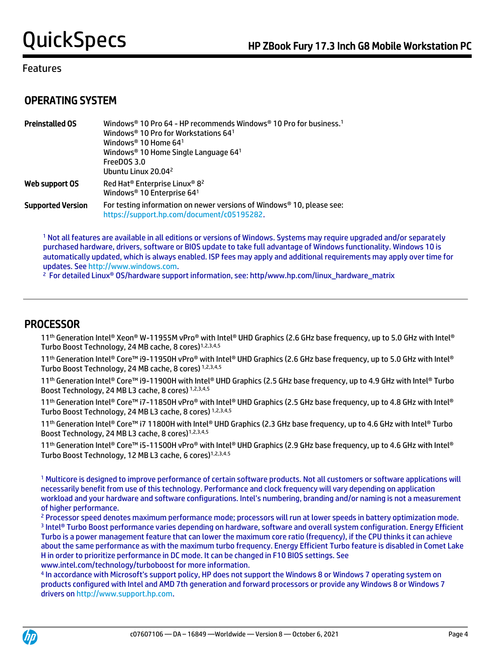# OPERATING SYSTEM

| <b>Preinstalled OS</b>   | Windows® 10 Pro 64 - HP recommends Windows® 10 Pro for business. <sup>1</sup><br>Windows® 10 Pro for Workstations 641<br>Windows® 10 Home 64 <sup>1</sup><br>Windows <sup>®</sup> 10 Home Single Language 64 <sup>1</sup><br>FreeDOS 3.0<br>Ubuntu Linux 20.04 <sup>2</sup> |
|--------------------------|-----------------------------------------------------------------------------------------------------------------------------------------------------------------------------------------------------------------------------------------------------------------------------|
| Web support OS           | Red Hat <sup>®</sup> Enterprise Linux <sup>®</sup> 8 <sup>2</sup><br>Windows <sup>®</sup> 10 Enterprise 64 <sup>1</sup>                                                                                                                                                     |
| <b>Supported Version</b> | For testing information on newer versions of Windows® 10, please see:<br>https://support.hp.com/document/c05195282.                                                                                                                                                         |

<sup>1</sup> Not all features are available in all editions or versions of Windows. Systems may require upgraded and/or separately purchased hardware, drivers, software or BIOS update to take full advantage of Windows functionality. Windows 10 is automatically updated, which is always enabled. ISP fees may apply and additional requirements may apply over time for updates. Se[e http://www.windows.com.](http://www.windows.com/)

<sup>2</sup> For detailed Linux® OS/hardware support information, see: http/www.hp.com/linux\_hardware\_matrix

## PROCESSOR

11<sup>th</sup> Generation Intel® Xeon® W-11955M vPro® with Intel® UHD Graphics (2.6 GHz base frequency, up to 5.0 GHz with Intel® Turbo Boost Technology, 24 MB cache, 8 cores)<sup>1,2,3,4,5</sup>

11th Generation Intel® Core™ i9-11950H vPro® with Intel® UHD Graphics (2.6 GHz base frequency, up to 5.0 GHz with Intel® Turbo Boost Technology, 24 MB cache, 8 cores) 1,2,3,4,5

11th Generation Intel® Core™ i9-11900H with Intel® UHD Graphics (2.5 GHz base frequency, up to 4.9 GHz with Intel® Turbo Boost Technology, 24 MB L3 cache, 8 cores) 1,2,3,4,5

11th Generation Intel® Core™ i7-11850H vPro® with Intel® UHD Graphics (2.5 GHz base frequency, up to 4.8 GHz with Intel® Turbo Boost Technology, 24 MB L3 cache, 8 cores) 1,2,3,4,5

11<sup>th</sup> Generation Intel® Core™ i7 11800H with Intel® UHD Graphics (2.3 GHz base frequency, up to 4.6 GHz with Intel® Turbo Boost Technology, 24 MB L3 cache, 8 cores)<sup>1,2,3,4,5</sup>

11th Generation Intel® Core™ i5-11500H vPro® with Intel® UHD Graphics (2.9 GHz base frequency, up to 4.6 GHz with Intel® Turbo Boost Technology, 12 MB L3 cache, 6 cores)<sup>1,2,3,4.5</sup>

<sup>1</sup> Multicore is designed to improve performance of certain software products. Not all customers or software applications will necessarily benefit from use of this technology. Performance and clock frequency will vary depending on application workload and your hardware and software configurations. Intel's numbering, branding and/or naming is not a measurement of higher performance.

<sup>2</sup> Processor speed denotes maximum performance mode; processors will run at lower speeds in battery optimization mode. 3 Intel® Turbo Boost performance varies depending on hardware, software and overall system configuration. Energy Efficient Turbo is a power management feature that can lower the maximum core ratio (frequency), if the CPU thinks it can achieve about the same performance as with the maximum turbo frequency. Energy Efficient Turbo feature is disabled in Comet Lake H in order to prioritize performance in DC mode. It can be changed in F10 BIOS settings. See www.intel.com/technology/turboboost for more information.

4 In accordance with Microsoft's support policy, HP does not support the Windows 8 or Windows 7 operating system on products configured with Intel and AMD 7th generation and forward processors or provide any Windows 8 or Windows 7 drivers on [http://www.support.hp.com.](http://www.support.hp.com/)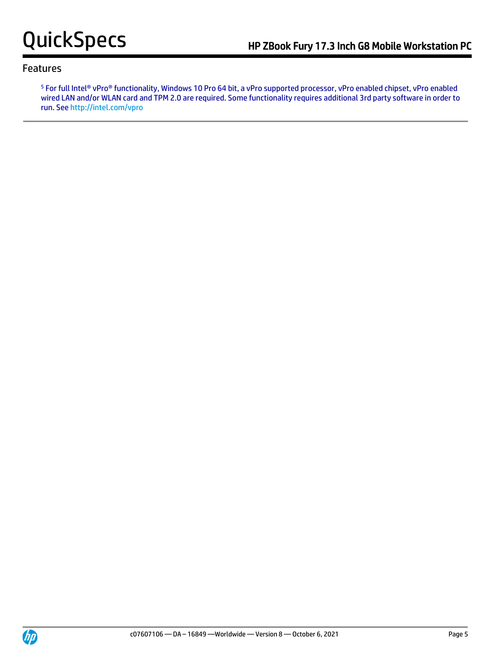<sup>5</sup> For full Intel® vPro® functionality, Windows 10 Pro 64 bit, a vPro supported processor, vPro enabled chipset, vPro enabled wired LAN and/or WLAN card and TPM 2.0 are required. Some functionality requires additional 3rd party software in order to run. Se[e http://intel.com/vpro](http://intel.com/vpro)

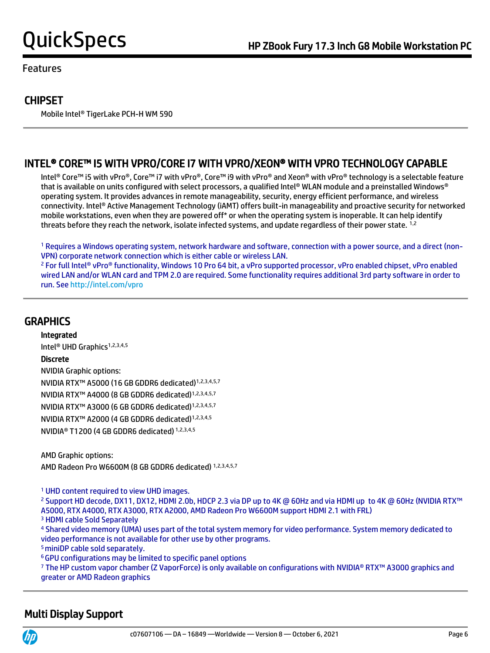# **CHIPSET**

Mobile Intel® TigerLake PCH-H WM 590

# INTEL® CORE™ I5 WITH VPRO/CORE I7 WITH VPRO/XEON® WITH VPRO TECHNOLOGY CAPABLE

 Intel® Core™ i5 with vPro®, Core™ i7 with vPro®, Core™ i9 with vPro® and Xeon® with vPro® technology is a selectable feature that is available on units configured with select processors, a qualified Intel® WLAN module and a preinstalled Windows® operating system. It provides advances in remote manageability, security, energy efficient performance, and wireless connectivity. Intel® Active Management Technology (iAMT) offers built-in manageability and proactive security for networked mobile workstations, even when they are powered off\* or when the operating system is inoperable. It can help identify threats before they reach the network, isolate infected systems, and update regardless of their power state. <sup>1,2</sup>

<sup>1</sup> Requires a Windows operating system, network hardware and software, connection with a power source, and a direct (non-VPN) corporate network connection which is either cable or wireless LAN.

<sup>2</sup> For full Intel® vPro® functionality, Windows 10 Pro 64 bit, a vPro supported processor, vPro enabled chipset, vPro enabled wired LAN and/or WLAN card and TPM 2.0 are required. Some functionality requires additional 3rd party software in order to run. Se[e http://intel.com/vpro](http://intel.com/vpro)

# **GRAPHICS**

Integrated

Intel<sup>®</sup> UHD Graphics<sup>1,2,3,4,5</sup>

## Discrete

NVIDIA Graphic options: NVIDIA RTX™ A5000 (16 GB GDDR6 dedicated)1,2,3,4,5,7 NVIDIA RTX™ A4000 (8 GB GDDR6 dedicated)1,2,3,4,5,7 NVIDIA RTX™ A3000 (6 GB GDDR6 dedicated)1,2,3,4,5,7 NVIDIA RTX™ A2000 (4 GB GDDR6 dedicated)1,2,3,4,5 NVIDIA® T1200 (4 GB GDDR6 dedicated) 1,2,3,4,5

AMD Graphic options: AMD Radeon Pro W6600M (8 GB GDDR6 dedicated) 1,2,3,4,5,7

<sup>1</sup> UHD content required to view UHD images.

<sup>2</sup> Support HD decode, DX11, DX12, HDMI 2.0b, HDCP 2.3 via DP up to 4K @ 60Hz and via HDMI up to 4K @ 60Hz (NVIDIA RTX™ A5000, RTX A4000, RTX A3000, RTX A2000, AMD Radeon Pro W6600M support HDMI 2.1 with FRL)

<sup>3</sup> HDMI cable Sold Separately

<sup>4</sup> Shared video memory (UMA) uses part of the total system memory for video performance. System memory dedicated to video performance is not available for other use by other programs.

<sup>5</sup> miniDP cable sold separately.

<sup>6</sup>GPU configurations may be limited to specific panel options

<sup>7</sup> The HP custom vapor chamber (Z VaporForce) is only available on configurations with NVIDIA® RTX™ A3000 graphics and greater or AMD Radeon graphics

# Multi Display Support

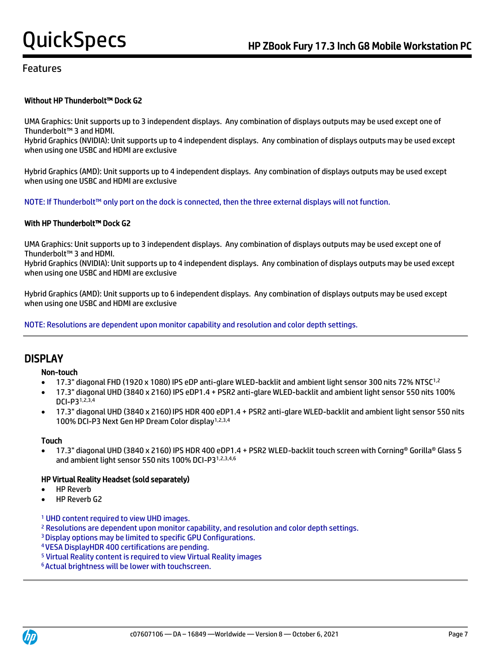## Without HP Thunderbolt™ Dock G2

UMA Graphics: Unit supports up to 3 independent displays. Any combination of displays outputs may be used except one of Thunderbolt™ 3 and HDMI.

Hybrid Graphics (NVIDIA): Unit supports up to 4 independent displays. Any combination of displays outputs may be used except when using one USBC and HDMI are exclusive

Hybrid Graphics (AMD): Unit supports up to 4 independent displays. Any combination of displays outputs may be used except when using one USBC and HDMI are exclusive

NOTE: If Thunderbolt™ only port on the dock is connected, then the three external displays will not function.

### With HP Thunderbolt™ Dock G2

UMA Graphics: Unit supports up to 3 independent displays. Any combination of displays outputs may be used except one of Thunderbolt™ 3 and HDMI.

Hybrid Graphics (NVIDIA): Unit supports up to 4 independent displays. Any combination of displays outputs may be used except when using one USBC and HDMI are exclusive

Hybrid Graphics (AMD): Unit supports up to 6 independent displays. Any combination of displays outputs may be used except when using one USBC and HDMI are exclusive

NOTE: Resolutions are dependent upon monitor capability and resolution and color depth settings.

## **DISPLAY**

### Non-touch

- 17.3" diagonal FHD (1920 x 1080) IPS eDP anti-glare WLED-backlit and ambient light sensor 300 nits 72% NTSC1,2
- 17.3" diagonal UHD (3840 x 2160) IPS eDP1.4 + PSR2 anti-glare WLED-backlit and ambient light sensor 550 nits 100% DCI-P31,2,3,4
- 17.3" diagonal UHD (3840 x 2160)IPS HDR 400 eDP1.4 + PSR2 anti-glare WLED-backlit and ambient light sensor 550 nits 100% DCI-P3 Next Gen HP Dream Color display1,2,3,4

### Touch

• 17.3" diagonal UHD (3840 x 2160) IPS HDR 400 eDP1.4 + PSR2 WLED-backlit touch screen with Corning® Gorilla® Glass 5 and ambient light sensor 550 nits 100% DCI-P31,2,3,4,6

### HP Virtual Reality Headset (sold separately)

- HP Reverb
- HP Reverb G2
- <sup>1</sup> UHD content required to view UHD images.
- <sup>2</sup> Resolutions are dependent upon monitor capability, and resolution and color depth settings.
- <sup>3</sup>Display options may be limited to specific GPU Configurations.
- <sup>4</sup>VESA DisplayHDR 400 certifications are pending.
- <sup>5</sup> Virtual Reality content is required to view Virtual Reality images
- 6 Actual brightness will be lower with touchscreen.



 $\overline{a}$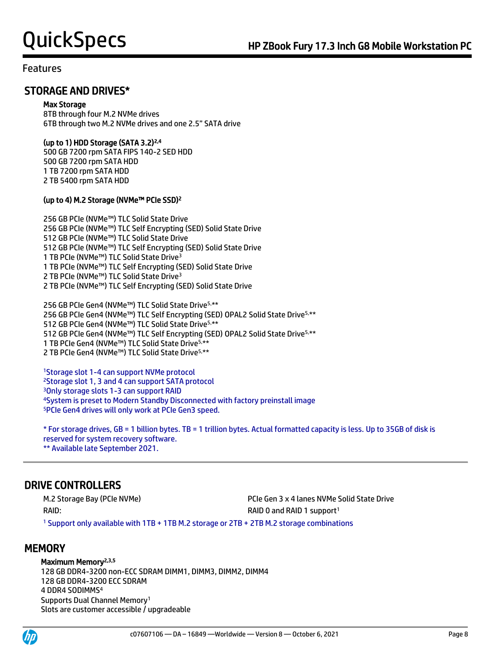## STORAGE AND DRIVES\*

### Max Storage

8TB through four M.2 NVMe drives 6TB through two M.2 NVMe drives and one 2.5" SATA drive

## (up to 1) HDD Storage (SATA 3.2)<sup>2,4</sup>

500 GB 7200 rpm SATA FIPS 140-2 SED HDD 500 GB 7200 rpm SATA HDD 1 TB 7200 rpm SATA HDD 2 TB 5400 rpm SATA HDD

## (up to 4) M.2 Storage (NVMe™ PCIe SSD)<sup>2</sup>

256 GB PCIe (NVMe™) TLC Solid State Drive 256 GB PCIe (NVMe™) TLC Self Encrypting (SED) Solid State Drive 512 GB PCIe (NVMe™) TLC Solid State Drive 512 GB PCIe (NVMe™) TLC Self Encrypting (SED) Solid State Drive 1 TB PCIe (NVMe™) TLC Solid State Drive<sup>3</sup> 1 TB PCIe (NVMe™) TLC Self Encrypting (SED) Solid State Drive 2 TB PCIe (NVMe™) TLC Solid State Drive<sup>3</sup> 2 TB PCIe (NVMe™) TLC Self Encrypting (SED) Solid State Drive

256 GB PCIe Gen4 (NVMe™) TLC Solid State Drive5,\*\* 256 GB PCIe Gen4 (NVMe™) TLC Self Encrypting (SED) OPAL2 Solid State Drive<sup>5,\*\*</sup> GB PCIe Gen4 (NVMe™) TLC Solid State Drive5,\*\* GB PCIe Gen4 (NVMe™) TLC Self Encrypting (SED) OPAL2 Solid State Drive5,\*\* TB PCIe Gen4 (NVMe™) TLC Solid State Drive5,\*\* TB PCIe Gen4 (NVMe™) TLC Solid State Drive5,\*\*

Storage slot 1-4 can support NVMe protocol Storage slot 1, 3 and 4 can support SATA protocol Only storage slots 1-3 can support RAID System is preset to Modern Standby Disconnected with factory preinstall image PCIe Gen4 drives will only work at PCIe Gen3 speed.

\* For storage drives, GB = 1 billion bytes. TB = 1 trillion bytes. Actual formatted capacity is less. Up to 35GB of disk is reserved for system recovery software. \*\* Available late September 2021.

# DRIVE CONTROLLERS

RAID: RAID: RAID: RAID 0 and RAID 1 support<sup>1</sup>

M.2 Storage Bay (PCIe NVMe) PCIe Gen 3 x 4 lanes NVMe Solid State Drive

<sup>1</sup> Support only available with 1TB + 1TB M.2 storage or 2TB + 2TB M.2 storage combinations

## **MEMORY**

## Maximum Memory<sup>2,3,5</sup>

128 GB DDR4-3200 non-ECC SDRAM DIMM1, DIMM3, DIMM2, DIMM4 128 GB DDR4-3200 ECC SDRAM 4 DDR4 SODIMMS<sup>4</sup> Supports Dual Channel Memory<sup>1</sup> Slots are customer accessible / upgradeable



 $\overline{a}$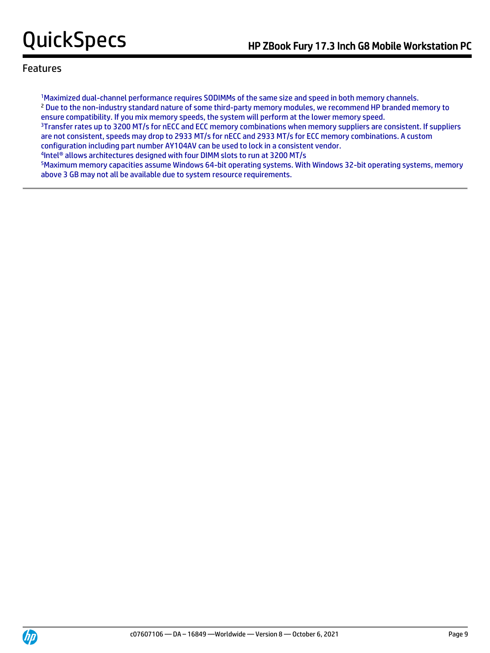<sup>1</sup>Maximized dual-channel performance requires SODIMMs of the same size and speed in both memory channels. <sup>2</sup> Due to the non-industry standard nature of some third-party memory modules, we recommend HP branded memory to ensure compatibility. If you mix memory speeds, the system will perform at the lower memory speed. <sup>3</sup>Transfer rates up to 3200 MT/s for nECC and ECC memory combinations when memory suppliers are consistent. If suppliers are not consistent, speeds may drop to 2933 MT/s for nECC and 2933 MT/s for ECC memory combinations. A custom configuration including part number AY104AV can be used to lock in a consistent vendor. 4 Intel® allows architectures designed with four DIMM slots to run at 3200 MT/s <sup>5</sup>Maximum memory capacities assume Windows 64-bit operating systems. With Windows 32-bit operating systems, memory above 3 GB may not all be available due to system resource requirements.

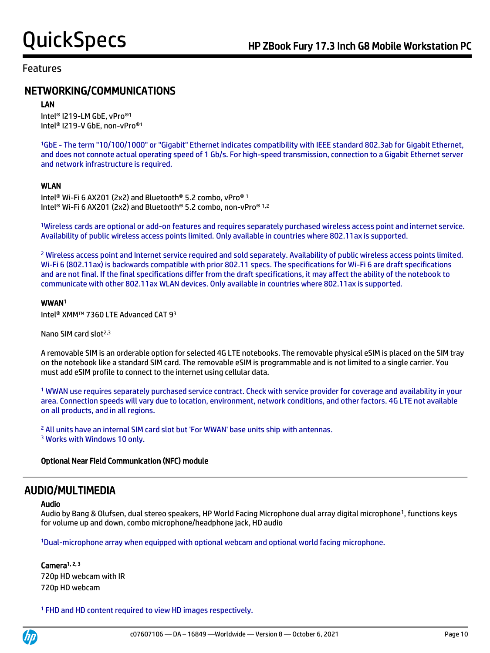# NETWORKING/COMMUNICATIONS

### LAN

Intel® I219-LM GbE, vPro® 1 Intel® I219-V GbE, non-vPro® 1

<sup>1</sup>GbE - The term "10/100/1000" or "Gigabit" Ethernet indicates compatibility with IEEE standard 802.3ab for Gigabit Ethernet, and does not connote actual operating speed of 1 Gb/s. For high-speed transmission, connection to a Gigabit Ethernet server and network infrastructure is required.

## WLAN

Intel® Wi-Fi 6 AX201 (2x2) and Bluetooth® 5.2 combo, vPro® 1 Intel® Wi-Fi 6 AX201 (2x2) and Bluetooth® 5.2 combo, non-vPro® 1,2

<sup>1</sup>Wireless cards are optional or add-on features and requires separately purchased wireless access point and internet service. Availability of public wireless access points limited. Only available in countries where 802.11ax is supported.

<sup>2</sup> Wireless access point and Internet service required and sold separately. Availability of public wireless access points limited. Wi-Fi 6 (802.11ax) is backwards compatible with prior 802.11 specs. The specifications for Wi-Fi 6 are draft specifications and are not final. If the final specifications differ from the draft specifications, it may affect the ability of the notebook to communicate with other 802.11ax WLAN devices. Only available in countries where 802.11ax is supported.

### WWAN<sup>1</sup>

Intel® XMM™ 7360 LTE Advanced CAT 9<sup>3</sup>

Nano SIM card slot<sup>2,3</sup>

A removable SIM is an orderable option for selected 4G LTE notebooks. The removable physical eSIM is placed on the SIM tray on the notebook like a standard SIM card. The removable eSIM is programmable and is not limited to a single carrier. You must add eSIM profile to connect to the internet using cellular data.

<sup>1</sup> WWAN use requires separately purchased service contract. Check with service provider for coverage and availability in your area. Connection speeds will vary due to location, environment, network conditions, and other factors. 4G LTE not available on all products, and in all regions.

<sup>2</sup> All units have an internal SIM card slot but 'For WWAN' base units ship with antennas. <sup>3</sup> Works with Windows 10 only.

## Optional Near Field Communication (NFC) module

## AUDIO/MULTIMEDIA

### Audio

Audio by Bang & Olufsen, dual stereo speakers, HP World Facing Microphone dual array digital microphone<sup>1</sup>, functions keys for volume up and down, combo microphone/headphone jack, HD audio

<sup>1</sup>Dual-microphone array when equipped with optional webcam and optional world facing microphone.

### Camera<sup>1, 2, 3</sup> 720p HD webcam with IR 720p HD webcam

<sup>1</sup> FHD and HD content required to view HD images respectively.

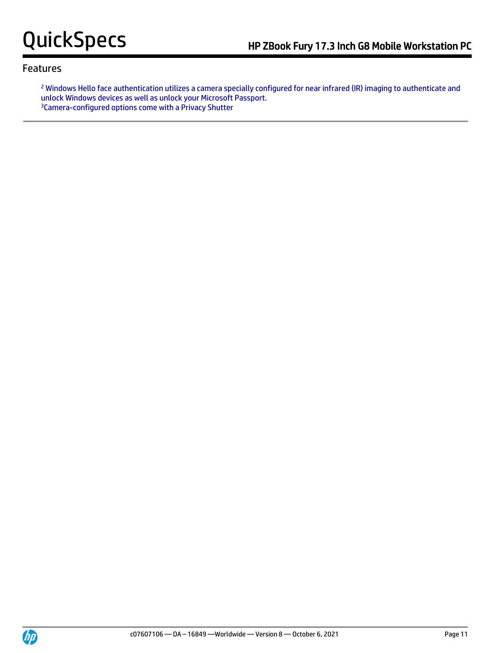<sup>2</sup> Windows Hello face authentication utilizes a camera specially configured for near infrared (IR) imaging to authenticate and unlock Windows devices as well as unlock your Microsoft Passport. 3Camera-configured options come with a Privacy Shutter

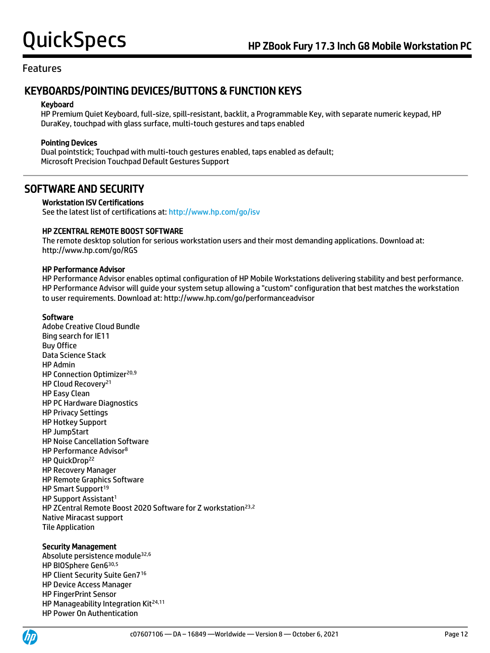# KEYBOARDS/POINTING DEVICES/BUTTONS & FUNCTION KEYS

### Keyboard

HP Premium Quiet Keyboard, full-size, spill-resistant, backlit, a Programmable Key, with separate numeric keypad, HP DuraKey, touchpad with glass surface, multi-touch gestures and taps enabled

## Pointing Devices

Dual pointstick; Touchpad with multi-touch gestures enabled, taps enabled as default; Microsoft Precision Touchpad Default Gestures Support

## SOFTWARE AND SECURITY

### Workstation ISV Certifications

See the latest list of certifications at[: http://www.hp.com/go/isv](http://www.hp.com/go/isv)

## HP ZCENTRAL REMOTE BOOST SOFTWARE

The remote desktop solution for serious workstation users and their most demanding applications. Download at: http://www.hp.com/go/RGS

### HP Performance Advisor

HP Performance Advisor enables optimal configuration of HP Mobile Workstations delivering stability and best performance. HP Performance Advisor will guide your system setup allowing a "custom" configuration that best matches the workstation to user requirements. Download at: http://www.hp.com/go/performanceadvisor

### **Software**

Adobe Creative Cloud Bundle Bing search for IE11 Buy Office Data Science Stack HP Admin HP Connection Optimizer<sup>20,9</sup> HP Cloud Recovery<sup>21</sup> HP Easy Clean HP PC Hardware Diagnostics HP Privacy Settings HP Hotkey Support HP JumpStart HP Noise Cancellation Software HP Performance Advisor<sup>8</sup> HP QuickDrop<sup>22</sup> HP Recovery Manager HP Remote Graphics Software HP Smart Support<sup>19</sup> HP Support Assistant<sup>1</sup> HP ZCentral Remote Boost 2020 Software for Z workstation<sup>23,2</sup> Native Miracast support Tile Application

### Security Management

Absolute persistence module32,6 HP BIOSphere Gen6 30,5 HP Client Security Suite Gen7<sup>16</sup> HP Device Access Manager HP FingerPrint Sensor HP Manageability Integration Kit<sup>24,11</sup> HP Power On Authentication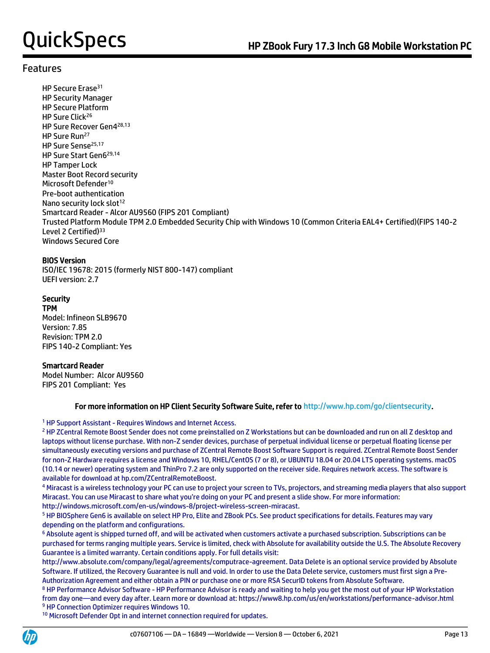HP Secure Erase<sup>31</sup> HP Security Manager HP Secure Platform HP Sure Click<sup>26</sup> HP Sure Recover Gen4 28,13 HP Sure Run<sup>27</sup> HP Sure Sense<sup>25,17</sup> HP Sure Start Gen6 29,14 HP Tamper Lock Master Boot Record security Microsoft Defender<sup>10</sup> Pre-boot authentication Nano security lock slot<sup>12</sup> Smartcard Reader - Alcor AU9560 (FIPS 201 Compliant) Trusted Platform Module TPM 2.0 Embedded Security Chip with Windows 10 (Common Criteria EAL4+ Certified)(FIPS 140-2 Level 2 Certified)<sup>33</sup> Windows Secured Core

### BIOS Version

ISO/IEC 19678: 2015 (formerly NIST 800-147) compliant UEFI version: 2.7

## **Security**

TPM Model: Infineon SLB9670 Version: 7.85 Revision: TPM 2.0 FIPS 140-2 Compliant: Yes

## Smartcard Reader

Model Number: Alcor AU9560 FIPS 201 Compliant: Yes

## For more information on HP Client Security Software Suite, refer to http://www.hp.com/go/clientsecurity.

<sup>1</sup> HP Support Assistant - Requires Windows and Internet Access.

<sup>2</sup> HP ZCentral Remote Boost Sender does not come preinstalled on Z Workstations but can be downloaded and run on all Z desktop and laptops without license purchase. With non-Z sender devices, purchase of perpetual individual license or perpetual floating license per simultaneously executing versions and purchase of ZCentral Remote Boost Software Support is required. ZCentral Remote Boost Sender for non-Z Hardware requires a license and Windows 10, RHEL/CentOS (7 or 8), or UBUNTU 18.04 or 20.04 LTS operating systems. macOS (10.14 or newer) operating system and ThinPro 7.2 are only supported on the receiver side. Requires network access. The software is available for download at hp.com/ZCentralRemoteBoost.

<sup>4</sup> Miracast is a wireless technology your PC can use to project your screen to TVs, projectors, and streaming media players that also support Miracast. You can use Miracast to share what you're doing on your PC and present a slide show. For more information: http://windows.microsoft.com/en-us/windows-8/project-wireless-screen-miracast.

<sup>5</sup> HP BIOSphere Gen6 is available on select HP Pro, Elite and ZBook PCs. See product specifications for details. Features may vary depending on the platform and configurations.

<sup>6</sup> Absolute agent is shipped turned off, and will be activated when customers activate a purchased subscription. Subscriptions can be purchased for terms ranging multiple years. Service is limited, check with Absolute for availability outside the U.S. The Absolute Recovery Guarantee is a limited warranty. Certain conditions apply. For full details visit:

http://www.absolute.com/company/legal/agreements/computrace-agreement. Data Delete is an optional service provided by Absolute Software. If utilized, the Recovery Guarantee is null and void. In order to use the Data Delete service, customers must first sign a Pre-Authorization Agreement and either obtain a PIN or purchase one or more RSA SecurID tokens from Absolute Software.

<sup>8</sup> HP Performance Advisor Software - HP Performance Advisor is ready and waiting to help you get the most out of your HP Workstation from day one—and every day after. Learn more or download at: https://www8.hp.com/us/en/workstations/performance-advisor.html <sup>9</sup> HP Connection Optimizer requires Windows 10.

<sup>10</sup> Microsoft Defender Opt in and internet connection required for updates.

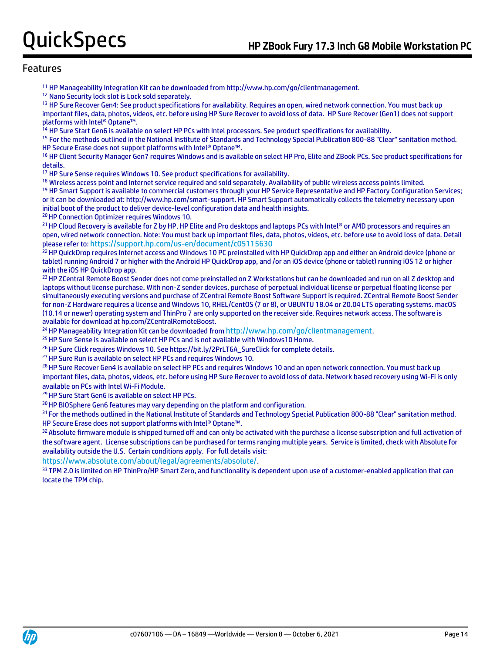<sup>11</sup> HP Manageability Integration Kit can be downloaded from http://www.hp.com/go/clientmanagement.

<sup>12</sup> Nano Security lock slot is Lock sold separately.

<sup>13</sup> HP Sure Recover Gen4: See product specifications for availability. Requires an open, wired network connection. You must back up important files, data, photos, videos, etc. before using HP Sure Recover to avoid loss of data. HP Sure Recover (Gen1) does not support platforms with Intel® Optane™.

<sup>14</sup> HP Sure Start Gen6 is available on select HP PCs with Intel processors. See product specifications for availability.

<sup>15</sup> For the methods outlined in the National Institute of Standards and Technology Special Publication 800-88 "Clear" sanitation method. HP Secure Erase does not support platforms with Intel® Optane™.

<sup>16</sup> HP Client Security Manager Gen7 requires Windows and is available on select HP Pro, Elite and ZBook PCs. See product specifications for details.

<sup>17</sup> HP Sure Sense requires Windows 10. See product specifications for availability.

<sup>18</sup> Wireless access point and Internet service required and sold separately. Availability of public wireless access points limited.

<sup>19</sup> HP Smart Support is available to commercial customers through your HP Service Representative and HP Factory Configuration Services; or it can be downloaded at: http://www.hp.com/smart-support. HP Smart Support automatically collects the telemetry necessary upon initial boot of the product to deliver device-level configuration data and health insights.

<sup>20</sup> HP Connection Optimizer requires Windows 10.

21 HP Cloud Recovery is available for Z by HP, HP Elite and Pro desktops and laptops PCs with Intel® or AMD processors and requires an open, wired network connection. Note: You must back up important files, data, photos, videos, etc. before use to avoid loss of data. Detail please refer to: <https://support.hp.com/us-en/document/c05115630>

<sup>22</sup> HP QuickDrop requires Internet access and Windows 10 PC preinstalled with HP QuickDrop app and either an Android device (phone or tablet) running Android 7 or higher with the Android HP QuickDrop app, and /or an iOS device (phone or tablet) running iOS 12 or higher with the iOS HP QuickDrop app.

<sup>23</sup> HP ZCentral Remote Boost Sender does not come preinstalled on Z Workstations but can be downloaded and run on all Z desktop and laptops without license purchase. With non-Z sender devices, purchase of perpetual individual license or perpetual floating license per simultaneously executing versions and purchase of ZCentral Remote Boost Software Support is required. ZCentral Remote Boost Sender for non-Z Hardware requires a license and Windows 10, RHEL/CentOS (7 or 8), or UBUNTU 18.04 or 20.04 LTS operating systems. macOS (10.14 or newer) operating system and ThinPro 7 are only supported on the receiver side. Requires network access. The software is available for download at hp.com/ZCentralRemoteBoost.

<sup>24</sup> HP Manageability Integration Kit can be downloaded from <http://www.hp.com/go/clientmanagement>.

<sup>25</sup> HP Sure Sense is available on select HP PCs and is not available with Windows10 Home.

<sup>26</sup> HP Sure Click requires Windows 10. See https://bit.ly/2PrLT6A\_SureClick for complete details.

<sup>27</sup> HP Sure Run is available on select HP PCs and requires Windows 10.

<sup>28</sup> HP Sure Recover Gen4 is available on select HP PCs and requires Windows 10 and an open network connection. You must back up important files, data, photos, videos, etc. before using HP Sure Recover to avoid loss of data. Network based recovery using Wi-Fi is only available on PCs with Intel Wi-Fi Module.

<sup>29</sup> HP Sure Start Gen6 is available on select HP PCs.

<sup>30</sup> HP BIOSphere Gen6 features may vary depending on the platform and configuration.

<sup>31</sup> For the methods outlined in the National Institute of Standards and Technology Special Publication 800-88 "Clear" sanitation method. HP Secure Erase does not support platforms with Intel® Optane™.

32 Absolute firmware module is shipped turned off and can only be activated with the purchase a license subscription and full activation of the software agent. License subscriptions can be purchased for terms ranging multiple years. Service is limited, check with Absolute for availability outside the U.S. Certain conditions apply. For full details visit:

<https://www.absolute.com/about/legal/agreements/absolute/>.

33 TPM 2.0 is limited on HP ThinPro/HP Smart Zero, and functionality is dependent upon use of a customer-enabled application that can locate the TPM chip.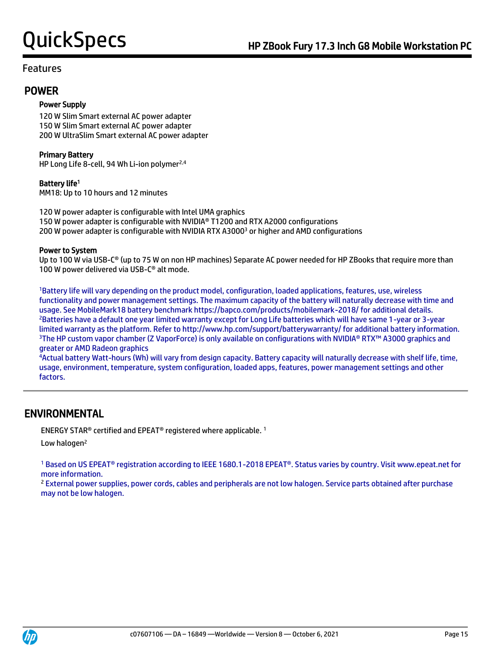## POWER

## Power Supply

120 W Slim Smart external AC power adapter 150 W Slim Smart external AC power adapter 200 W UltraSlim Smart external AC power adapter

## Primary Battery

HP Long Life 8-cell, 94 Wh Li-ion polymer<sup>2,4</sup>

Battery life<sup>1</sup> MM18: Up to 10 hours and 12 minutes

120 W power adapter is configurable with Intel UMA graphics 150 W power adapter is configurable with NVIDIA® T1200 and RTX A2000 configurations 200 W power adapter is configurable with NVIDIA RTX A3000<sup>3</sup> or higher and AMD configurations

## Power to System

Up to 100 W via USB-C® (up to 75 W on non HP machines) Separate AC power needed for HP ZBooks that require more than 100 W power delivered via USB-C® alt mode.

<sup>1</sup>Battery life will vary depending on the product model, configuration, loaded applications, features, use, wireless functionality and power management settings. The maximum capacity of the battery will naturally decrease with time and usage. See MobileMark18 battery benchmark https://bapco.com/products/mobilemark-2018/ for additional details. <sup>2</sup>Batteries have a default one year limited warranty except for Long Life batteries which will have same 1-year or 3-year limited warranty as the platform. Refer to http://www.hp.com/support/batterywarranty/ for additional battery information. <sup>3</sup>The HP custom vapor chamber (Z VaporForce) is only available on configurations with NVIDIA® RTX™ A3000 graphics and greater or AMD Radeon graphics

<sup>4</sup>Actual battery Watt-hours (Wh) will vary from design capacity. Battery capacity will naturally decrease with shelf life, time, usage, environment, temperature, system configuration, loaded apps, features, power management settings and other factors.

# ENVIRONMENTAL

ENERGY STAR® certified and EPEAT® registered where applicable. <sup>1</sup>

Low halogen<sup>2</sup>

<sup>1</sup> Based on US EPEAT® registration according to IEEE 1680.1-2018 EPEAT®. Status varies by country. Visit www.epeat.net for more information.

<sup>2</sup> External power supplies, power cords, cables and peripherals are not low halogen. Service parts obtained after purchase may not be low halogen.

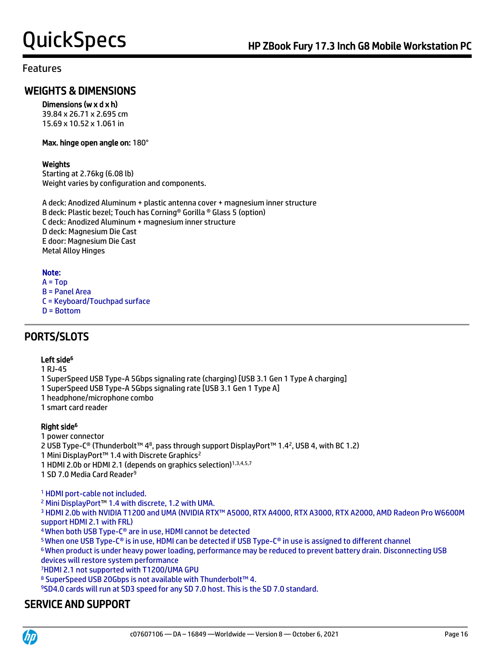## WEIGHTS & DIMENSIONS

## Dimensions (w x d x h)

39.84 x 26.71 x 2.695 cm 15.69 x 10.52 x 1.061 in

### Max. hinge open angle on: 180°

### **Weights**

Starting at 2.76kg (6.08 lb) Weight varies by configuration and components.

A deck: Anodized Aluminum + plastic antenna cover + magnesium inner structure B deck: Plastic bezel; Touch has Corning® Gorilla ® Glass 5 (option) C deck: Anodized Aluminum + magnesium inner structure D deck: Magnesium Die Cast E door: Magnesium Die Cast Metal Alloy Hinges

## Note:

- $A = Top$ B = Panel Area C = Keyboard/Touchpad surface
- D = Bottom

# PORTS/SLOTS

## Left side<sup>6</sup>

1 RJ-45

- 1 SuperSpeed USB Type-A 5Gbps signaling rate (charging) [USB 3.1 Gen 1 Type A charging]
- 1 SuperSpeed USB Type-A 5Gbps signaling rate [USB 3.1 Gen 1 Type A]
- 1 headphone/microphone combo
- 1 smart card reader

## Right side<sup>6</sup>

1 power connector

2 USB Type-C® (Thunderbolt™ 48, pass through support DisplayPort™ 1.42, USB 4, with BC 1.2)

1 Mini DisplayPort™ 1.4 with Discrete Graphics<sup>2</sup>

1 HDMI 2.0b or HDMI 2.1 (depends on graphics selection)<sup>1,3,4,5,7</sup>

1 SD 7.0 Media Card Reader<sup>9</sup>

<sup>1</sup> HDMI port-cable not included.

<sup>2</sup> Mini DisplayPort™ 1.4 with discrete, 1.2 with UMA.

3 HDMI 2.0b with NVIDIA T1200 and UMA (NVIDIA RTX™ A5000, RTX A4000, RTX A3000, RTX A2000, AMD Radeon Pro W6600M support HDMI 2.1 with FRL)

<sup>4</sup>When both USB Type-C® are in use, HDMI cannot be detected

<sup>5</sup>When one USB Type-C® is in use, HDMI can be detected if USB Type-C® in use is assigned to different channel

<sup>6</sup>When product is under heavy power loading, performance may be reduced to prevent battery drain. Disconnecting USB devices will restore system performance

<sup>7</sup>HDMI 2.1 not supported with T1200/UMA GPU

<sup>8</sup> SuperSpeed USB 20Gbps is not available with Thunderbolt™ 4.

<sup>9</sup>SD4.0 cards will run at SD3 speed for any SD 7.0 host. This is the SD 7.0 standard.

# SERVICE AND SUPPORT

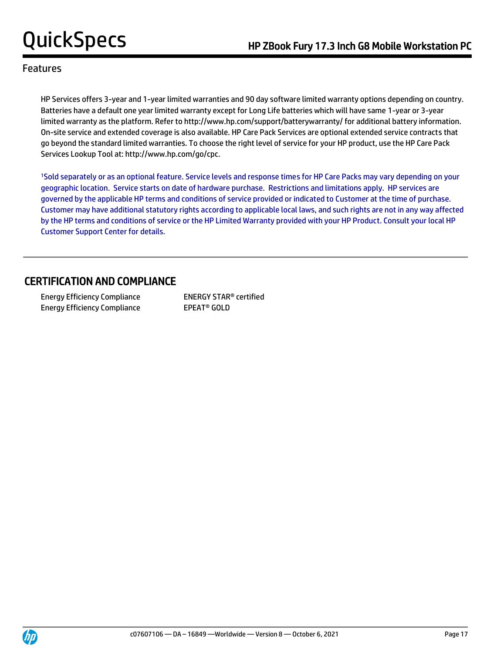HP Services offers 3-year and 1-year limited warranties and 90 day software limited warranty options depending on country. Batteries have a default one year limited warranty except for Long Life batteries which will have same 1-year or 3-year limited warranty as the platform. Refer to http://www.hp.com/support/batterywarranty/ for additional battery information. On-site service and extended coverage is also available. HP Care Pack Services are optional extended service contracts that go beyond the standard limited warranties. To choose the right level of service for your HP product, use the HP Care Pack Services Lookup Tool at: http://www.hp.com/go/cpc.

<sup>1</sup>Sold separately or as an optional feature. Service levels and response times for HP Care Packs may vary depending on your geographic location. Service starts on date of hardware purchase. Restrictions and limitations apply. HP services are governed by the applicable HP terms and conditions of service provided or indicated to Customer at the time of purchase. Customer may have additional statutory rights according to applicable local laws, and such rights are not in any way affected by the HP terms and conditions of service or the HP Limited Warranty provided with your HP Product. Consult your local HP Customer Support Center for details.

# CERTIFICATION AND COMPLIANCE

 Energy Efficiency Compliance ENERGY STAR® certified Energy Efficiency Compliance EPEAT<sup>®</sup> GOLD

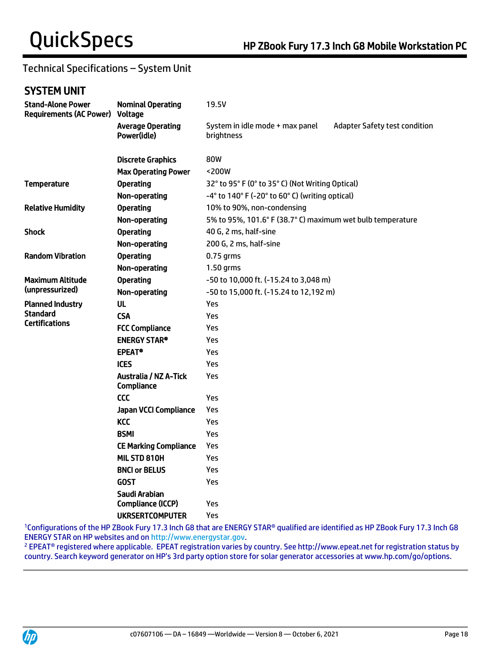# Technical Specifications – System Unit

# SYSTEM UNIT

| <b>Stand-Alone Power</b><br><b>Requirements (AC Power) Voltage</b> | <b>Nominal Operating</b>                | 19.5V                                                                                 |  |  |
|--------------------------------------------------------------------|-----------------------------------------|---------------------------------------------------------------------------------------|--|--|
|                                                                    | <b>Average Operating</b><br>Power(idle) | System in idle mode + max panel<br><b>Adapter Safety test condition</b><br>brightness |  |  |
|                                                                    | <b>Discrete Graphics</b>                | 80W                                                                                   |  |  |
|                                                                    | <b>Max Operating Power</b>              | <200W                                                                                 |  |  |
| <b>Temperature</b>                                                 | <b>Operating</b>                        | 32° to 95° F (0° to 35° C) (Not Writing Optical)                                      |  |  |
|                                                                    | Non-operating                           | $-4^{\circ}$ to 140° F (-20° to 60° C) (writing optical)                              |  |  |
| <b>Relative Humidity</b>                                           | <b>Operating</b>                        | 10% to 90%, non-condensing                                                            |  |  |
|                                                                    | Non-operating                           | 5% to 95%, 101.6° F (38.7° C) maximum wet bulb temperature                            |  |  |
| <b>Shock</b>                                                       | <b>Operating</b>                        | 40 G, 2 ms, half-sine                                                                 |  |  |
|                                                                    | Non-operating                           | 200 G, 2 ms, half-sine                                                                |  |  |
| <b>Random Vibration</b>                                            | <b>Operating</b>                        | $0.75$ grms                                                                           |  |  |
|                                                                    | Non-operating                           | 1.50 grms                                                                             |  |  |
| <b>Maximum Altitude</b>                                            | <b>Operating</b>                        | -50 to 10,000 ft. (-15.24 to 3,048 m)                                                 |  |  |
| (unpressurized)                                                    | Non-operating                           | -50 to 15,000 ft. (-15.24 to 12,192 m)                                                |  |  |
| <b>Planned Industry</b>                                            | <b>UL</b>                               | Yes                                                                                   |  |  |
| <b>Standard</b><br><b>Certifications</b>                           | <b>CSA</b>                              | Yes                                                                                   |  |  |
|                                                                    | <b>FCC Compliance</b>                   | Yes                                                                                   |  |  |
|                                                                    | <b>ENERGY STAR®</b>                     | Yes                                                                                   |  |  |
|                                                                    | <b>EPEAT®</b>                           | Yes                                                                                   |  |  |
|                                                                    | <b>ICES</b>                             | Yes                                                                                   |  |  |
|                                                                    | Australia / NZ A-Tick<br>Compliance     | Yes                                                                                   |  |  |
|                                                                    | <b>CCC</b>                              | Yes                                                                                   |  |  |
|                                                                    | <b>Japan VCCI Compliance</b>            | Yes                                                                                   |  |  |
|                                                                    | <b>KCC</b>                              | Yes                                                                                   |  |  |
|                                                                    | <b>BSMI</b>                             | Yes                                                                                   |  |  |
|                                                                    | <b>CE Marking Compliance</b>            | Yes                                                                                   |  |  |
|                                                                    | MIL STD 810H                            | Yes                                                                                   |  |  |
|                                                                    | <b>BNCI or BELUS</b>                    | Yes                                                                                   |  |  |
|                                                                    | <b>GOST</b>                             | Yes                                                                                   |  |  |
|                                                                    | Saudi Arabian                           |                                                                                       |  |  |
|                                                                    | Compliance (ICCP)                       | Yes                                                                                   |  |  |
|                                                                    | <b>UKRSERTCOMPUTER</b>                  | Yes                                                                                   |  |  |

<sup>1</sup>Configurations of the HP ZBook Fury 17.3 Inch G8 that are ENERGY STAR® qualified are identified as HP ZBook Fury 17.3 Inch G8 ENERGY STAR on HP websites and o[n http://www.energystar.gov.](http://www.energystar.gov/)

<sup>2</sup> EPEAT® registered where applicable. EPEAT registration varies by country. See http://www.epeat.net for registration status by country. Search keyword generator on HP's 3rd party option store for solar generator accessories at www.hp.com/go/options.

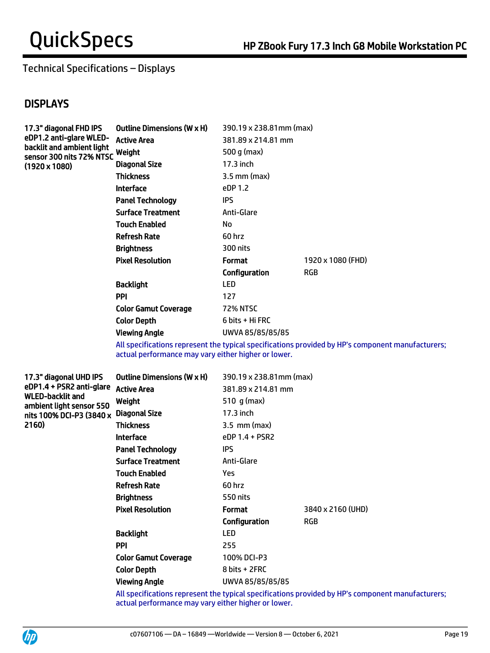# Technical Specifications – Displays

# **DISPLAYS**

| 17.3" diagonal FHD IPS<br>eDP1.2 anti-glare WLED-     | <b>Outline Dimensions (W x H)</b> | 390.19 x 238.81mm (max) |                   |
|-------------------------------------------------------|-----------------------------------|-------------------------|-------------------|
|                                                       | <b>Active Area</b>                | 381.89 x 214.81 mm      |                   |
| backlit and ambient light<br>sensor 300 nits 72% NTSC | Weight                            | 500 g (max)             |                   |
| $(1920 \times 1080)$                                  | <b>Diagonal Size</b>              | $17.3$ inch             |                   |
|                                                       | <b>Thickness</b>                  | $3.5$ mm (max)          |                   |
|                                                       | <b>Interface</b>                  | eDP 1.2                 |                   |
|                                                       | <b>Panel Technology</b>           | IPS                     |                   |
|                                                       | <b>Surface Treatment</b>          | Anti-Glare              |                   |
|                                                       | <b>Touch Enabled</b>              | No                      |                   |
|                                                       | <b>Refresh Rate</b>               | 60 hrz                  |                   |
|                                                       | <b>Brightness</b>                 | 300 nits                |                   |
|                                                       | <b>Pixel Resolution</b>           | <b>Format</b>           | 1920 x 1080 (FHD) |
|                                                       |                                   | Configuration           | RGB               |
|                                                       | <b>Backlight</b>                  | <b>LED</b>              |                   |
|                                                       | <b>PPI</b>                        | 127                     |                   |
|                                                       | <b>Color Gamut Coverage</b>       | 72% NTSC                |                   |
|                                                       | <b>Color Depth</b>                | 6 bits + Hi FRC         |                   |
|                                                       | <b>Viewing Angle</b>              | UWVA 85/85/85/85        |                   |
|                                                       |                                   |                         |                   |

All specifications represent the typical specifications provided by HP's component manufacturers; actual performance may vary either higher or lower.

17.3" diagonal UHD IPS eDP1.4 + PSR2 anti-glare WLED-backlit and ambient light sensor 550 nits 100% DCI-P3 (3840 x 2160)

| <b>Outline Dimensions (W x H)</b> | 390.19 x 238.81mm (max) |                   |
|-----------------------------------|-------------------------|-------------------|
| <b>Active Area</b>                | 381.89 x 214.81 mm      |                   |
| Weight                            | 510 g (max)             |                   |
| <b>Diagonal Size</b>              | 17.3 inch               |                   |
| <b>Thickness</b>                  | $3.5$ mm (max)          |                   |
| <b>Interface</b>                  | eDP 1.4 + PSR2          |                   |
| <b>Panel Technology</b>           | IPS                     |                   |
| <b>Surface Treatment</b>          | Anti-Glare              |                   |
| <b>Touch Enabled</b>              | Yes                     |                   |
| <b>Refresh Rate</b>               | 60 hrz                  |                   |
| <b>Brightness</b>                 | <b>550 nits</b>         |                   |
| <b>Pixel Resolution</b>           | Format                  | 3840 x 2160 (UHD) |
|                                   | Configuration           | <b>RGB</b>        |
| <b>Backlight</b>                  | LED                     |                   |
| <b>PPI</b>                        | 255                     |                   |
| <b>Color Gamut Coverage</b>       | 100% DCI-P3             |                   |
| <b>Color Depth</b>                | 8 bits + 2FRC           |                   |
| <b>Viewing Angle</b>              | UWVA 85/85/85/85        |                   |

All specifications represent the typical specifications provided by HP's component manufacturers; actual performance may vary either higher or lower.

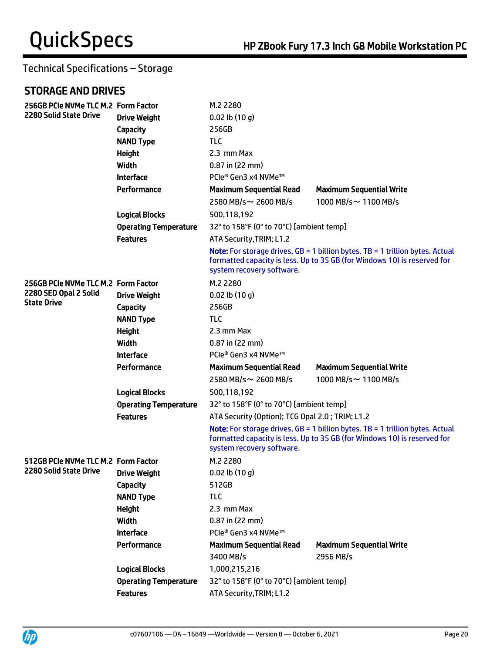# STORAGE AND DRIVES

| 256GB PCIe NVMe TLC M.2 Form Factor |                              | M.2 2280                                                                                                                                                                                        |                                                                                                                                                                    |
|-------------------------------------|------------------------------|-------------------------------------------------------------------------------------------------------------------------------------------------------------------------------------------------|--------------------------------------------------------------------------------------------------------------------------------------------------------------------|
| 2280 Solid State Drive              | <b>Drive Weight</b>          | $0.02$ lb $(10 g)$                                                                                                                                                                              |                                                                                                                                                                    |
|                                     | Capacity                     | 256GB                                                                                                                                                                                           |                                                                                                                                                                    |
|                                     | <b>NAND Type</b>             | <b>TLC</b>                                                                                                                                                                                      |                                                                                                                                                                    |
|                                     | <b>Height</b>                | 2.3 mm Max                                                                                                                                                                                      |                                                                                                                                                                    |
|                                     | Width                        | $0.87$ in (22 mm)                                                                                                                                                                               |                                                                                                                                                                    |
|                                     | <b>Interface</b>             | PCIe® Gen3 x4 NVMe™                                                                                                                                                                             |                                                                                                                                                                    |
|                                     | Performance                  | <b>Maximum Sequential Read</b>                                                                                                                                                                  | <b>Maximum Sequential Write</b>                                                                                                                                    |
|                                     |                              | 2580 MB/s~ 2600 MB/s                                                                                                                                                                            | 1000 MB/s ~ 1100 MB/s                                                                                                                                              |
|                                     | <b>Logical Blocks</b>        | 500,118,192                                                                                                                                                                                     |                                                                                                                                                                    |
|                                     | <b>Operating Temperature</b> | 32° to 158°F (0° to 70°C) [ambient temp]                                                                                                                                                        |                                                                                                                                                                    |
|                                     | <b>Features</b>              | ATA Security, TRIM; L1.2                                                                                                                                                                        |                                                                                                                                                                    |
|                                     |                              | system recovery software.                                                                                                                                                                       | <b>Note:</b> For storage drives, $GB = 1$ billion bytes. TB = 1 trillion bytes. Actual<br>formatted capacity is less. Up to 35 GB (for Windows 10) is reserved for |
| 256GB PCIe NVMe TLC M.2 Form Factor |                              | M.2 2280                                                                                                                                                                                        |                                                                                                                                                                    |
| 2280 SED Opal 2 Solid               | <b>Drive Weight</b>          | $0.02$ lb $(10 g)$                                                                                                                                                                              |                                                                                                                                                                    |
| <b>State Drive</b>                  | <b>Capacity</b>              | 256GB                                                                                                                                                                                           |                                                                                                                                                                    |
|                                     | <b>NAND Type</b>             | <b>TLC</b>                                                                                                                                                                                      |                                                                                                                                                                    |
|                                     | <b>Height</b>                | 2.3 mm Max                                                                                                                                                                                      |                                                                                                                                                                    |
|                                     | Width                        | $0.87$ in (22 mm)                                                                                                                                                                               |                                                                                                                                                                    |
|                                     | <b>Interface</b>             | PCIe® Gen3 x4 NVMe™                                                                                                                                                                             |                                                                                                                                                                    |
|                                     | Performance                  | <b>Maximum Sequential Read</b>                                                                                                                                                                  | <b>Maximum Sequential Write</b>                                                                                                                                    |
|                                     |                              | 2580 MB/s~ 2600 MB/s                                                                                                                                                                            | 1000 MB/s~ 1100 MB/s                                                                                                                                               |
|                                     | <b>Logical Blocks</b>        | 500,118,192                                                                                                                                                                                     |                                                                                                                                                                    |
|                                     | <b>Operating Temperature</b> | 32° to 158°F (0° to 70°C) [ambient temp]                                                                                                                                                        |                                                                                                                                                                    |
|                                     | <b>Features</b>              | ATA Security (Option); TCG Opal 2.0; TRIM; L1.2                                                                                                                                                 |                                                                                                                                                                    |
|                                     |                              | <b>Note:</b> For storage drives, $GB = 1$ billion bytes. TB = 1 trillion bytes. Actual<br>formatted capacity is less. Up to 35 GB (for Windows 10) is reserved for<br>system recovery software. |                                                                                                                                                                    |
| 512GB PCIe NVMe TLC M.2 Form Factor |                              | M.2 2280                                                                                                                                                                                        |                                                                                                                                                                    |
| 2280 Solid State Drive              | <b>Drive Weight</b>          | 0.02 lb (10 g)                                                                                                                                                                                  |                                                                                                                                                                    |
|                                     | <b>Capacity</b>              | 512GB                                                                                                                                                                                           |                                                                                                                                                                    |
|                                     | <b>NAND Type</b>             | <b>TLC</b>                                                                                                                                                                                      |                                                                                                                                                                    |
|                                     | <b>Height</b>                | 2.3 mm Max                                                                                                                                                                                      |                                                                                                                                                                    |
|                                     | Width                        | 0.87 in (22 mm)                                                                                                                                                                                 |                                                                                                                                                                    |
|                                     | <b>Interface</b>             | PCIe® Gen3 x4 NVMe™                                                                                                                                                                             |                                                                                                                                                                    |
|                                     | Performance                  | <b>Maximum Sequential Read</b>                                                                                                                                                                  | <b>Maximum Sequential Write</b>                                                                                                                                    |
|                                     |                              | 3400 MB/s                                                                                                                                                                                       | 2956 MB/s                                                                                                                                                          |
|                                     | <b>Logical Blocks</b>        | 1,000,215,216                                                                                                                                                                                   |                                                                                                                                                                    |
|                                     | <b>Operating Temperature</b> | 32° to 158°F (0° to 70°C) [ambient temp]                                                                                                                                                        |                                                                                                                                                                    |
|                                     | <b>Features</b>              | ATA Security, TRIM; L1.2                                                                                                                                                                        |                                                                                                                                                                    |

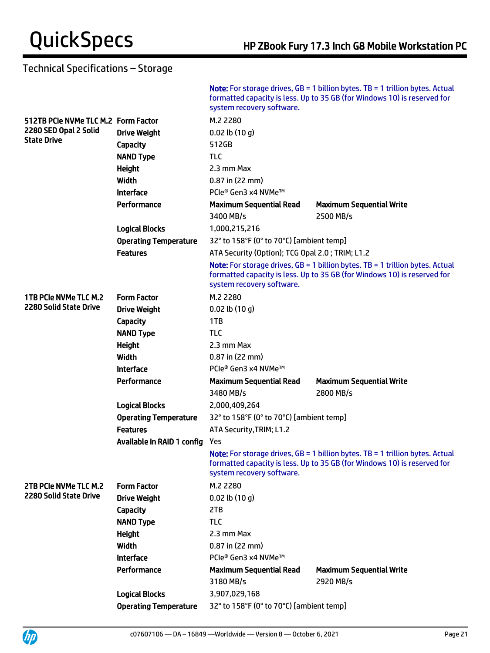|                                     |                              | system recovery software.                       | <b>Note:</b> For storage drives, $GB = 1$ billion bytes. TB = 1 trillion bytes. Actual<br>formatted capacity is less. Up to 35 GB (for Windows 10) is reserved for |
|-------------------------------------|------------------------------|-------------------------------------------------|--------------------------------------------------------------------------------------------------------------------------------------------------------------------|
| 512TB PCIe NVMe TLC M.2 Form Factor |                              | M.2 2280                                        |                                                                                                                                                                    |
| 2280 SED Opal 2 Solid               | <b>Drive Weight</b>          | $0.02$ lb $(10 g)$                              |                                                                                                                                                                    |
| <b>State Drive</b>                  | <b>Capacity</b>              | 512GB                                           |                                                                                                                                                                    |
|                                     | <b>NAND Type</b>             | <b>TLC</b>                                      |                                                                                                                                                                    |
|                                     | <b>Height</b>                | 2.3 mm Max                                      |                                                                                                                                                                    |
|                                     | <b>Width</b>                 | $0.87$ in (22 mm)                               |                                                                                                                                                                    |
|                                     | <b>Interface</b>             | PCIe® Gen3 x4 NVMe™                             |                                                                                                                                                                    |
|                                     | Performance                  | <b>Maximum Sequential Read</b>                  | <b>Maximum Sequential Write</b>                                                                                                                                    |
|                                     |                              | 3400 MB/s                                       | 2500 MB/s                                                                                                                                                          |
|                                     | <b>Logical Blocks</b>        | 1,000,215,216                                   |                                                                                                                                                                    |
|                                     | <b>Operating Temperature</b> | 32° to 158°F (0° to 70°C) [ambient temp]        |                                                                                                                                                                    |
|                                     | <b>Features</b>              | ATA Security (Option); TCG Opal 2.0; TRIM; L1.2 |                                                                                                                                                                    |
|                                     |                              | system recovery software.                       | <b>Note:</b> For storage drives, $GB = 1$ billion bytes. TB = 1 trillion bytes. Actual<br>formatted capacity is less. Up to 35 GB (for Windows 10) is reserved for |
| 1TB PCIe NVMe TLC M.2               | <b>Form Factor</b>           | M.2 2280                                        |                                                                                                                                                                    |
| 2280 Solid State Drive              | <b>Drive Weight</b>          | $0.02$ lb $(10 g)$                              |                                                                                                                                                                    |
|                                     | Capacity                     | 1TB                                             |                                                                                                                                                                    |
|                                     | <b>NAND Type</b>             | <b>TLC</b>                                      |                                                                                                                                                                    |
|                                     | <b>Height</b>                | 2.3 mm Max                                      |                                                                                                                                                                    |
|                                     | <b>Width</b>                 | $0.87$ in (22 mm)                               |                                                                                                                                                                    |
|                                     | <b>Interface</b>             | PCIe® Gen3 x4 NVMe™                             |                                                                                                                                                                    |
|                                     | Performance                  | <b>Maximum Sequential Read</b>                  | <b>Maximum Sequential Write</b>                                                                                                                                    |
|                                     |                              | 3480 MB/s                                       | 2800 MB/s                                                                                                                                                          |
|                                     | <b>Logical Blocks</b>        | 2,000,409,264                                   |                                                                                                                                                                    |
|                                     | <b>Operating Temperature</b> | 32° to 158°F (0° to 70°C) [ambient temp]        |                                                                                                                                                                    |
|                                     | <b>Features</b>              | ATA Security, TRIM; L1.2                        |                                                                                                                                                                    |
|                                     | Available in RAID 1 config   | Yes                                             |                                                                                                                                                                    |
|                                     |                              | system recovery software.                       | <b>Note:</b> For storage drives, $GB = 1$ billion bytes. TB = 1 trillion bytes. Actual<br>formatted capacity is less. Up to 35 GB (for Windows 10) is reserved for |
| 2TB PCIe NVMe TLC M.2               | <b>Form Factor</b>           | M.2 2280                                        |                                                                                                                                                                    |
| <b>2280 Solid State Drive</b>       | <b>Drive Weight</b>          | $0.02$ lb $(10q)$                               |                                                                                                                                                                    |
|                                     | <b>Capacity</b>              | 2TB                                             |                                                                                                                                                                    |
|                                     | <b>NAND Type</b>             | <b>TLC</b>                                      |                                                                                                                                                                    |
|                                     | <b>Height</b>                | 2.3 mm Max                                      |                                                                                                                                                                    |
|                                     | <b>Width</b>                 | $0.87$ in (22 mm)                               |                                                                                                                                                                    |
|                                     | <b>Interface</b>             | PCIe® Gen3 x4 NVMe™                             |                                                                                                                                                                    |
|                                     | Performance                  | <b>Maximum Sequential Read</b>                  | <b>Maximum Sequential Write</b>                                                                                                                                    |
|                                     |                              | 3180 MB/s                                       | 2920 MB/s                                                                                                                                                          |
|                                     | <b>Logical Blocks</b>        | 3,907,029,168                                   |                                                                                                                                                                    |
|                                     | <b>Operating Temperature</b> | 32° to 158°F (0° to 70°C) [ambient temp]        |                                                                                                                                                                    |

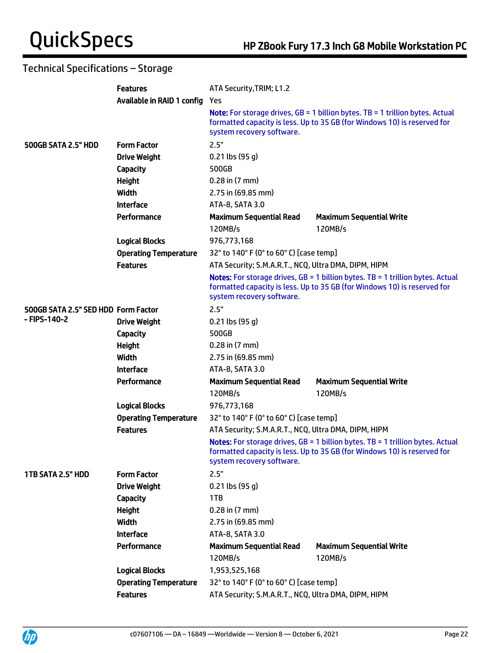|                                     | <b>Features</b>              | ATA Security, TRIM; L1.2                             |                                                                                                                                                                     |  |
|-------------------------------------|------------------------------|------------------------------------------------------|---------------------------------------------------------------------------------------------------------------------------------------------------------------------|--|
|                                     | Available in RAID 1 config   | Yes                                                  |                                                                                                                                                                     |  |
|                                     |                              | system recovery software.                            | <b>Note:</b> For storage drives, $GB = 1$ billion bytes. TB = 1 trillion bytes. Actual<br>formatted capacity is less. Up to 35 GB (for Windows 10) is reserved for  |  |
| <b>500GB SATA 2.5" HDD</b>          | <b>Form Factor</b>           | 2.5"                                                 |                                                                                                                                                                     |  |
|                                     | <b>Drive Weight</b>          | $0.21$ lbs (95 g)                                    |                                                                                                                                                                     |  |
|                                     | Capacity                     | 500GB                                                |                                                                                                                                                                     |  |
|                                     | <b>Height</b>                | $0.28$ in $(7 \text{ mm})$                           |                                                                                                                                                                     |  |
|                                     | Width                        | 2.75 in (69.85 mm)                                   |                                                                                                                                                                     |  |
|                                     | <b>Interface</b>             | ATA-8, SATA 3.0                                      |                                                                                                                                                                     |  |
|                                     | Performance                  | <b>Maximum Sequential Read</b><br>120MB/s            | <b>Maximum Sequential Write</b><br>120MB/s                                                                                                                          |  |
|                                     | <b>Logical Blocks</b>        | 976,773,168                                          |                                                                                                                                                                     |  |
|                                     | <b>Operating Temperature</b> | 32° to 140° F (0° to 60° C) [case temp]              |                                                                                                                                                                     |  |
|                                     | <b>Features</b>              | ATA Security; S.M.A.R.T., NCQ, Ultra DMA, DIPM, HIPM |                                                                                                                                                                     |  |
|                                     |                              | system recovery software.                            | Notes: For storage drives, GB = 1 billion bytes. TB = 1 trillion bytes. Actual<br>formatted capacity is less. Up to 35 GB (for Windows 10) is reserved for          |  |
| 500GB SATA 2.5" SED HDD Form Factor |                              | 2.5"                                                 |                                                                                                                                                                     |  |
| - FIPS-140-2                        | <b>Drive Weight</b>          | $0.21$ lbs (95 g)                                    |                                                                                                                                                                     |  |
|                                     | Capacity                     | 500GB                                                |                                                                                                                                                                     |  |
|                                     | <b>Height</b>                | $0.28$ in $(7 \text{ mm})$                           |                                                                                                                                                                     |  |
|                                     | Width                        | 2.75 in (69.85 mm)                                   |                                                                                                                                                                     |  |
|                                     | <b>Interface</b>             | ATA-8, SATA 3.0                                      |                                                                                                                                                                     |  |
|                                     | Performance                  | <b>Maximum Sequential Read</b>                       | <b>Maximum Sequential Write</b>                                                                                                                                     |  |
|                                     |                              | 120MB/s                                              | 120MB/s                                                                                                                                                             |  |
|                                     | <b>Logical Blocks</b>        | 976,773,168                                          |                                                                                                                                                                     |  |
|                                     | <b>Operating Temperature</b> | 32° to 140° F (0° to 60° C) [case temp]              |                                                                                                                                                                     |  |
|                                     | <b>Features</b>              | ATA Security; S.M.A.R.T., NCQ, Ultra DMA, DIPM, HIPM |                                                                                                                                                                     |  |
|                                     |                              | system recovery software.                            | <b>Notes:</b> For storage drives, $GB = 1$ billion bytes. TB = 1 trillion bytes. Actual<br>formatted capacity is less. Up to 35 GB (for Windows 10) is reserved for |  |
| 1TB SATA 2.5" HDD                   | <b>Form Factor</b>           | 2.5"                                                 |                                                                                                                                                                     |  |
|                                     | <b>Drive Weight</b>          | $0.21$ lbs (95 g)                                    |                                                                                                                                                                     |  |
|                                     | <b>Capacity</b>              | 1TB                                                  |                                                                                                                                                                     |  |
|                                     | <b>Height</b>                | $0.28$ in $(7 \text{ mm})$                           |                                                                                                                                                                     |  |
|                                     | Width                        | 2.75 in (69.85 mm)                                   |                                                                                                                                                                     |  |
|                                     | <b>Interface</b>             | ATA-8, SATA 3.0                                      |                                                                                                                                                                     |  |
|                                     | Performance                  | <b>Maximum Sequential Read</b><br>120MB/s            | <b>Maximum Sequential Write</b><br>120MB/s                                                                                                                          |  |
|                                     | <b>Logical Blocks</b>        | 1,953,525,168                                        |                                                                                                                                                                     |  |
|                                     | <b>Operating Temperature</b> | 32° to 140° F (0° to 60° C) [case temp]              |                                                                                                                                                                     |  |
|                                     | <b>Features</b>              | ATA Security; S.M.A.R.T., NCQ, Ultra DMA, DIPM, HIPM |                                                                                                                                                                     |  |

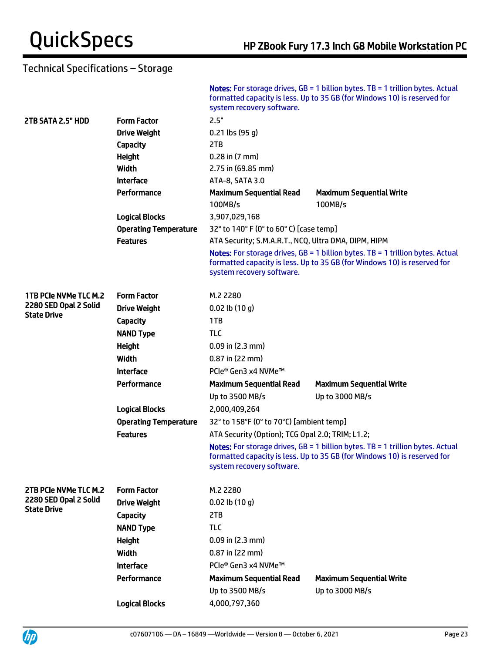|                                             |                              | system recovery software.                            | <b>Notes:</b> For storage drives, $GB = 1$ billion bytes. TB = 1 trillion bytes. Actual<br>formatted capacity is less. Up to 35 GB (for Windows 10) is reserved for |  |
|---------------------------------------------|------------------------------|------------------------------------------------------|---------------------------------------------------------------------------------------------------------------------------------------------------------------------|--|
| 2TB SATA 2.5" HDD                           | <b>Form Factor</b>           | 2.5"                                                 |                                                                                                                                                                     |  |
|                                             | <b>Drive Weight</b>          | $0.21$ lbs $(95g)$                                   |                                                                                                                                                                     |  |
|                                             | <b>Capacity</b>              | 2TB                                                  |                                                                                                                                                                     |  |
|                                             | <b>Height</b>                | $0.28$ in $(7 \text{ mm})$                           |                                                                                                                                                                     |  |
|                                             | Width                        | 2.75 in (69.85 mm)                                   |                                                                                                                                                                     |  |
|                                             | <b>Interface</b>             | ATA-8, SATA 3.0                                      |                                                                                                                                                                     |  |
|                                             | Performance                  | <b>Maximum Sequential Read</b>                       | <b>Maximum Sequential Write</b>                                                                                                                                     |  |
|                                             |                              | 100MB/s                                              | 100MB/s                                                                                                                                                             |  |
|                                             | <b>Logical Blocks</b>        | 3,907,029,168                                        |                                                                                                                                                                     |  |
|                                             | <b>Operating Temperature</b> | 32° to 140° F (0° to 60° C) [case temp]              |                                                                                                                                                                     |  |
|                                             | <b>Features</b>              | ATA Security; S.M.A.R.T., NCQ, Ultra DMA, DIPM, HIPM |                                                                                                                                                                     |  |
|                                             |                              | system recovery software.                            | <b>Notes:</b> For storage drives, $GB = 1$ billion bytes. TB = 1 trillion bytes. Actual<br>formatted capacity is less. Up to 35 GB (for Windows 10) is reserved for |  |
| 1TB PCIe NVMe TLC M.2                       | <b>Form Factor</b>           | M.2 2280                                             |                                                                                                                                                                     |  |
| 2280 SED Opal 2 Solid<br><b>State Drive</b> | <b>Drive Weight</b>          | $0.02$ lb $(10 g)$                                   |                                                                                                                                                                     |  |
|                                             | <b>Capacity</b>              | 1TB                                                  |                                                                                                                                                                     |  |
|                                             | <b>NAND Type</b>             | <b>TLC</b>                                           |                                                                                                                                                                     |  |
|                                             | <b>Height</b>                | $0.09$ in $(2.3$ mm)                                 |                                                                                                                                                                     |  |
|                                             | Width                        | $0.87$ in (22 mm)                                    |                                                                                                                                                                     |  |
|                                             | <b>Interface</b>             | PCIe® Gen3 x4 NVMe™                                  |                                                                                                                                                                     |  |
|                                             | Performance                  | <b>Maximum Sequential Read</b>                       | <b>Maximum Sequential Write</b>                                                                                                                                     |  |
|                                             |                              | Up to 3500 MB/s                                      | Up to 3000 MB/s                                                                                                                                                     |  |
|                                             | <b>Logical Blocks</b>        | 2,000,409,264                                        |                                                                                                                                                                     |  |
|                                             | <b>Operating Temperature</b> | 32° to 158°F (0° to 70°C) [ambient temp]             |                                                                                                                                                                     |  |
|                                             | <b>Features</b>              | ATA Security (Option); TCG Opal 2.0; TRIM; L1.2;     |                                                                                                                                                                     |  |
|                                             |                              | system recovery software.                            | <b>Notes:</b> For storage drives, $GB = 1$ billion bytes. TB = 1 trillion bytes. Actual<br>formatted capacity is less. Up to 35 GB (for Windows 10) is reserved for |  |
| 2TB PCIe NVMe TLC M.2                       | <b>Form Factor</b>           | M.2 2280                                             |                                                                                                                                                                     |  |
| 2280 SED Opal 2 Solid<br><b>State Drive</b> | <b>Drive Weight</b>          | $0.02$ lb $(10q)$                                    |                                                                                                                                                                     |  |
|                                             | <b>Capacity</b>              | 2TB                                                  |                                                                                                                                                                     |  |
|                                             | <b>NAND Type</b>             | <b>TLC</b>                                           |                                                                                                                                                                     |  |
|                                             | <b>Height</b>                | $0.09$ in $(2.3$ mm)                                 |                                                                                                                                                                     |  |
|                                             | Width                        | $0.87$ in (22 mm)                                    |                                                                                                                                                                     |  |
|                                             | <b>Interface</b>             | PCIe® Gen3 x4 NVMe™                                  |                                                                                                                                                                     |  |
|                                             | Performance                  | <b>Maximum Sequential Read</b>                       | <b>Maximum Sequential Write</b>                                                                                                                                     |  |
|                                             |                              | Up to 3500 MB/s                                      | Up to 3000 MB/s                                                                                                                                                     |  |
|                                             | <b>Logical Blocks</b>        | 4,000,797,360                                        |                                                                                                                                                                     |  |

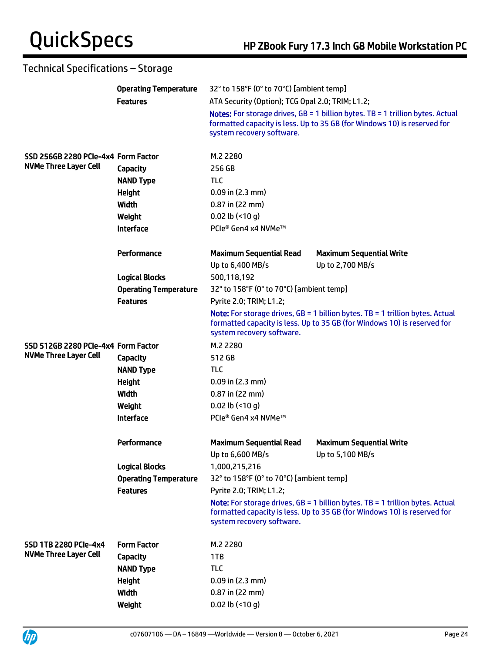|                                     | <b>Operating Temperature</b> | 32° to 158°F (0° to 70°C) [ambient temp]           |                                                                                                                                                                    |  |
|-------------------------------------|------------------------------|----------------------------------------------------|--------------------------------------------------------------------------------------------------------------------------------------------------------------------|--|
|                                     | <b>Features</b>              | ATA Security (Option); TCG Opal 2.0; TRIM; L1.2;   |                                                                                                                                                                    |  |
|                                     |                              | system recovery software.                          | Notes: For storage drives, GB = 1 billion bytes. TB = 1 trillion bytes. Actual<br>formatted capacity is less. Up to 35 GB (for Windows 10) is reserved for         |  |
| SSD 256GB 2280 PCIe-4x4 Form Factor |                              | M.2 2280                                           |                                                                                                                                                                    |  |
| <b>NVMe Three Layer Cell</b>        | <b>Capacity</b>              | 256 GB                                             |                                                                                                                                                                    |  |
|                                     | <b>NAND Type</b>             | <b>TLC</b>                                         |                                                                                                                                                                    |  |
|                                     | <b>Height</b>                | $0.09$ in (2.3 mm)                                 |                                                                                                                                                                    |  |
|                                     | <b>Width</b>                 | $0.87$ in (22 mm)                                  |                                                                                                                                                                    |  |
|                                     | Weight                       | $0.02$ lb (<10 g)                                  |                                                                                                                                                                    |  |
|                                     | <b>Interface</b>             | PCIe® Gen4 x4 NVMe™                                |                                                                                                                                                                    |  |
|                                     | Performance                  | <b>Maximum Sequential Read</b>                     | <b>Maximum Sequential Write</b>                                                                                                                                    |  |
|                                     |                              | Up to 6,400 MB/s                                   | Up to 2,700 MB/s                                                                                                                                                   |  |
|                                     | <b>Logical Blocks</b>        | 500,118,192                                        |                                                                                                                                                                    |  |
|                                     | <b>Operating Temperature</b> | 32° to 158°F (0° to 70°C) [ambient temp]           |                                                                                                                                                                    |  |
|                                     | <b>Features</b>              | Pyrite 2.0; TRIM; L1.2;                            |                                                                                                                                                                    |  |
|                                     |                              | system recovery software.                          | <b>Note:</b> For storage drives, $GB = 1$ billion bytes. TB = 1 trillion bytes. Actual<br>formatted capacity is less. Up to 35 GB (for Windows 10) is reserved for |  |
| SSD 512GB 2280 PCIe-4x4 Form Factor |                              | M.2 2280                                           |                                                                                                                                                                    |  |
| <b>NVMe Three Layer Cell</b>        | Capacity                     | 512 GB                                             |                                                                                                                                                                    |  |
|                                     | <b>NAND Type</b>             | <b>TLC</b>                                         |                                                                                                                                                                    |  |
|                                     | <b>Height</b>                | $0.09$ in (2.3 mm)                                 |                                                                                                                                                                    |  |
|                                     | <b>Width</b>                 | $0.87$ in (22 mm)                                  |                                                                                                                                                                    |  |
|                                     | Weight                       | $0.02$ lb (<10 q)                                  |                                                                                                                                                                    |  |
|                                     | <b>Interface</b>             | PCIe® Gen4 x4 NVMe™                                |                                                                                                                                                                    |  |
|                                     | Performance                  | <b>Maximum Sequential Read</b><br>Up to 6,600 MB/s | <b>Maximum Sequential Write</b><br>Up to 5,100 MB/s                                                                                                                |  |
|                                     | <b>Logical Blocks</b>        | 1,000,215,216                                      |                                                                                                                                                                    |  |
|                                     | <b>Operating Temperature</b> | 32° to 158°F (0° to 70°C) [ambient temp]           |                                                                                                                                                                    |  |
|                                     | <b>Features</b>              | Pyrite 2.0; TRIM; L1.2;                            |                                                                                                                                                                    |  |
|                                     |                              | system recovery software.                          | <b>Note:</b> For storage drives, $GB = 1$ billion bytes. TB = 1 trillion bytes. Actual<br>formatted capacity is less. Up to 35 GB (for Windows 10) is reserved for |  |
| <b>SSD 1TB 2280 PCIe-4x4</b>        | <b>Form Factor</b>           | M.2 2280                                           |                                                                                                                                                                    |  |
| <b>NVMe Three Layer Cell</b>        | <b>Capacity</b>              | 1TB                                                |                                                                                                                                                                    |  |
|                                     | <b>NAND Type</b>             | <b>TLC</b>                                         |                                                                                                                                                                    |  |
|                                     | <b>Height</b>                | $0.09$ in (2.3 mm)                                 |                                                                                                                                                                    |  |
|                                     | <b>Width</b>                 | $0.87$ in (22 mm)                                  |                                                                                                                                                                    |  |
|                                     | Weight                       | $0.02$ lb (<10 g)                                  |                                                                                                                                                                    |  |
|                                     |                              |                                                    |                                                                                                                                                                    |  |

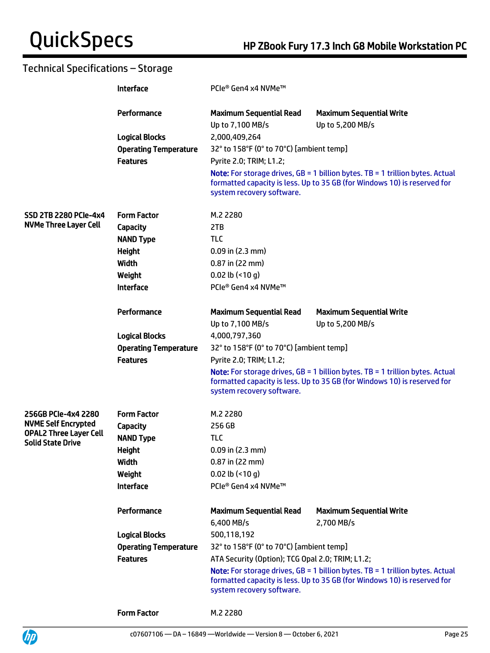|                                                                                                                | <b>Interface</b>                                                                                                  | PCIe® Gen4 x4 NVMe™                                                                                                                                                                      |                                                                                                                                                                                                                           |
|----------------------------------------------------------------------------------------------------------------|-------------------------------------------------------------------------------------------------------------------|------------------------------------------------------------------------------------------------------------------------------------------------------------------------------------------|---------------------------------------------------------------------------------------------------------------------------------------------------------------------------------------------------------------------------|
|                                                                                                                | Performance<br><b>Logical Blocks</b><br><b>Operating Temperature</b><br><b>Features</b>                           | <b>Maximum Sequential Read</b><br>Up to 7,100 MB/s<br>2,000,409,264<br>32° to 158°F (0° to 70°C) [ambient temp]<br>Pyrite 2.0; TRIM; L1.2;<br>system recovery software.                  | <b>Maximum Sequential Write</b><br>Up to 5,200 MB/s<br><b>Note:</b> For storage drives, $GB = 1$ billion bytes. TB = 1 trillion bytes. Actual<br>formatted capacity is less. Up to 35 GB (for Windows 10) is reserved for |
| <b>SSD 2TB 2280 PCIe-4x4</b><br><b>NVMe Three Layer Cell</b>                                                   | <b>Form Factor</b><br><b>Capacity</b><br><b>NAND Type</b><br><b>Height</b><br>Width<br>Weight<br><b>Interface</b> | M.2 2280<br>2TB<br><b>TLC</b><br>$0.09$ in $(2.3$ mm)<br>0.87 in (22 mm)<br>$0.02$ lb (<10 g)<br>PCIe® Gen4 x4 NVMe™                                                                     |                                                                                                                                                                                                                           |
|                                                                                                                | Performance<br><b>Logical Blocks</b><br><b>Operating Temperature</b><br><b>Features</b>                           | <b>Maximum Sequential Read</b><br>Up to 7,100 MB/s<br>4,000,797,360<br>32° to 158°F (0° to 70°C) [ambient temp]<br>Pyrite 2.0; TRIM; L1.2;<br>system recovery software.                  | <b>Maximum Sequential Write</b><br>Up to 5,200 MB/s<br><b>Note:</b> For storage drives, $GB = 1$ billion bytes. TB = 1 trillion bytes. Actual<br>formatted capacity is less. Up to 35 GB (for Windows 10) is reserved for |
| 256GB PCIe-4x4 2280<br><b>NVME Self Encrypted</b><br><b>OPAL2 Three Layer Cell</b><br><b>Solid State Drive</b> | <b>Form Factor</b><br><b>Capacity</b><br><b>NAND Type</b><br><b>Height</b><br>Width<br>Weight<br><b>Interface</b> | M.2 2280<br>256 GB<br><b>TLC</b><br>0.09 in (2.3 mm)<br>$0.87$ in (22 mm)<br>$0.02$ lb (<10 g)<br>PCIe® Gen4 x4 NVMe™                                                                    |                                                                                                                                                                                                                           |
|                                                                                                                | Performance<br><b>Logical Blocks</b><br><b>Operating Temperature</b><br><b>Features</b>                           | <b>Maximum Sequential Read</b><br>6,400 MB/s<br>500,118,192<br>32° to 158°F (0° to 70°C) [ambient temp]<br>ATA Security (Option); TCG Opal 2.0; TRIM; L1.2;<br>system recovery software. | <b>Maximum Sequential Write</b><br>2,700 MB/s<br><b>Note:</b> For storage drives, $GB = 1$ billion bytes. TB = 1 trillion bytes. Actual<br>formatted capacity is less. Up to 35 GB (for Windows 10) is reserved for       |
|                                                                                                                | <b>Form Factor</b>                                                                                                | M.2 2280                                                                                                                                                                                 |                                                                                                                                                                                                                           |

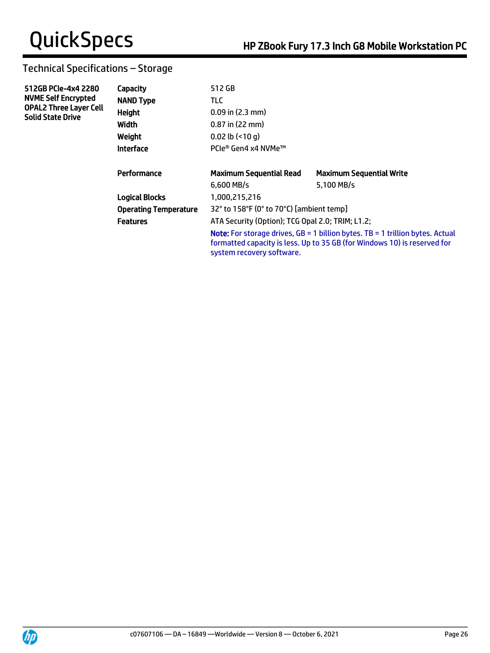| 512GB PCIe-4x4 2280                                       | <b>Capacity</b>              | 512 GB                                                                                                                                                                                          |                                 |  |
|-----------------------------------------------------------|------------------------------|-------------------------------------------------------------------------------------------------------------------------------------------------------------------------------------------------|---------------------------------|--|
| <b>NVME Self Encrypted</b>                                | <b>NAND Type</b>             | TLC.                                                                                                                                                                                            |                                 |  |
| <b>OPAL2 Three Layer Cell</b><br><b>Solid State Drive</b> | <b>Height</b>                | $0.09$ in $(2.3$ mm)                                                                                                                                                                            |                                 |  |
|                                                           | Width                        | $0.87$ in (22 mm)                                                                                                                                                                               |                                 |  |
|                                                           | Weight                       | $0.02$ lb $($ <10 q)                                                                                                                                                                            |                                 |  |
|                                                           | <b>Interface</b>             | PCle® Gen4 x4 NVMe™                                                                                                                                                                             |                                 |  |
|                                                           | Performance                  | <b>Maximum Sequential Read</b>                                                                                                                                                                  | <b>Maximum Sequential Write</b> |  |
|                                                           |                              | 6,600 MB/s                                                                                                                                                                                      | 5,100 MB/s                      |  |
|                                                           | <b>Logical Blocks</b>        | 1,000,215,216                                                                                                                                                                                   |                                 |  |
|                                                           | <b>Operating Temperature</b> | 32° to 158°F (0° to 70°C) [ambient temp]                                                                                                                                                        |                                 |  |
|                                                           | <b>Features</b>              | ATA Security (Option); TCG Opal 2.0; TRIM; L1.2;                                                                                                                                                |                                 |  |
|                                                           |                              | <b>Note:</b> For storage drives, $GB = 1$ billion bytes. TB = 1 trillion bytes. Actual<br>formatted capacity is less. Up to 35 GB (for Windows 10) is reserved for<br>system recovery software. |                                 |  |

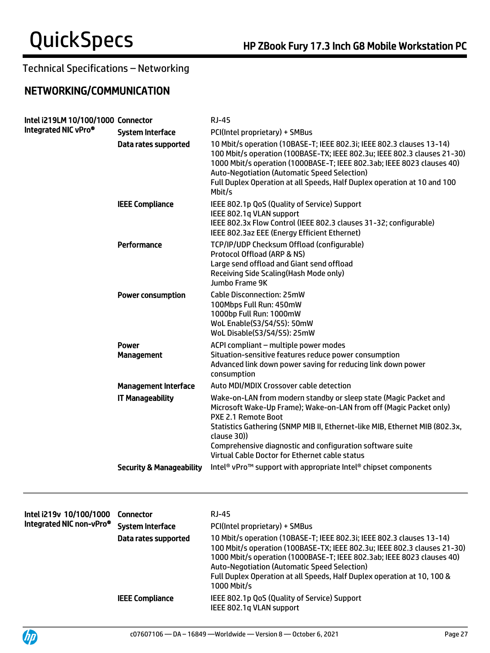# NETWORKING/COMMUNICATION

| Intel i219LM 10/100/1000 Connector |                                     | <b>RJ-45</b>                                                                                                                                                                                                                                                                                                                                                                 |
|------------------------------------|-------------------------------------|------------------------------------------------------------------------------------------------------------------------------------------------------------------------------------------------------------------------------------------------------------------------------------------------------------------------------------------------------------------------------|
| Integrated NIC vPro®               | <b>System Interface</b>             | PCI(Intel proprietary) + SMBus                                                                                                                                                                                                                                                                                                                                               |
|                                    | Data rates supported                | 10 Mbit/s operation (10BASE-T; IEEE 802.3i; IEEE 802.3 clauses 13-14)<br>100 Mbit/s operation (100BASE-TX; IEEE 802.3u; IEEE 802.3 clauses 21-30)<br>1000 Mbit/s operation (1000BASE-T; IEEE 802.3ab; IEEE 8023 clauses 40)<br><b>Auto-Negotiation (Automatic Speed Selection)</b><br>Full Duplex Operation at all Speeds, Half Duplex operation at 10 and 100<br>Mbit/s     |
|                                    | <b>IEEE Compliance</b>              | IEEE 802.1p QoS (Quality of Service) Support<br>IEEE 802.1q VLAN support<br>IEEE 802.3x Flow Control (IEEE 802.3 clauses 31-32; configurable)<br>IEEE 802.3az EEE (Energy Efficient Ethernet)                                                                                                                                                                                |
|                                    | Performance                         | TCP/IP/UDP Checksum Offload (configurable)<br>Protocol Offload (ARP & NS)<br>Large send offload and Giant send offload<br>Receiving Side Scaling (Hash Mode only)<br>Jumbo Frame 9K                                                                                                                                                                                          |
|                                    | <b>Power consumption</b>            | <b>Cable Disconnection: 25mW</b><br>100Mbps Full Run: 450mW<br>1000bp Full Run: 1000mW<br>WoL Enable(S3/S4/S5): 50mW<br>WoL Disable(S3/S4/S5): 25mW                                                                                                                                                                                                                          |
|                                    | <b>Power</b><br><b>Management</b>   | ACPI compliant - multiple power modes<br>Situation-sensitive features reduce power consumption<br>Advanced link down power saving for reducing link down power<br>consumption                                                                                                                                                                                                |
|                                    | <b>Management Interface</b>         | Auto MDI/MDIX Crossover cable detection                                                                                                                                                                                                                                                                                                                                      |
|                                    | <b>IT Manageability</b>             | Wake-on-LAN from modern standby or sleep state (Magic Packet and<br>Microsoft Wake-Up Frame); Wake-on-LAN from off (Magic Packet only)<br>PXE 2.1 Remote Boot<br>Statistics Gathering (SNMP MIB II, Ethernet-like MIB, Ethernet MIB (802.3x,<br>clause 30))<br>Comprehensive diagnostic and configuration software suite<br>Virtual Cable Doctor for Ethernet cable status   |
|                                    | <b>Security &amp; Manageability</b> | Intel <sup>®</sup> vPro <sup>™</sup> support with appropriate Intel® chipset components                                                                                                                                                                                                                                                                                      |
| Intel i219v 10/100/1000            | <b>Connector</b>                    | <b>RJ-45</b>                                                                                                                                                                                                                                                                                                                                                                 |
| Integrated NIC non-vPro®           | <b>System Interface</b>             | PCI(Intel proprietary) + SMBus                                                                                                                                                                                                                                                                                                                                               |
|                                    | Data rates supported                | 10 Mbit/s operation (10BASE-T; IEEE 802.3i; IEEE 802.3 clauses 13-14)<br>100 Mbit/s operation (100BASE-TX; IEEE 802.3u; IEEE 802.3 clauses 21-30)<br>1000 Mbit/s operation (1000BASE-T; IEEE 802.3ab; IEEE 8023 clauses 40)<br><b>Auto-Negotiation (Automatic Speed Selection)</b><br>Full Duplex Operation at all Speeds, Half Duplex operation at 10, 100 &<br>1000 Mbit/s |
|                                    | <b>IEEE Compliance</b>              | IEEE 802.1p QoS (Quality of Service) Support<br>IEEE 802.1q VLAN support                                                                                                                                                                                                                                                                                                     |

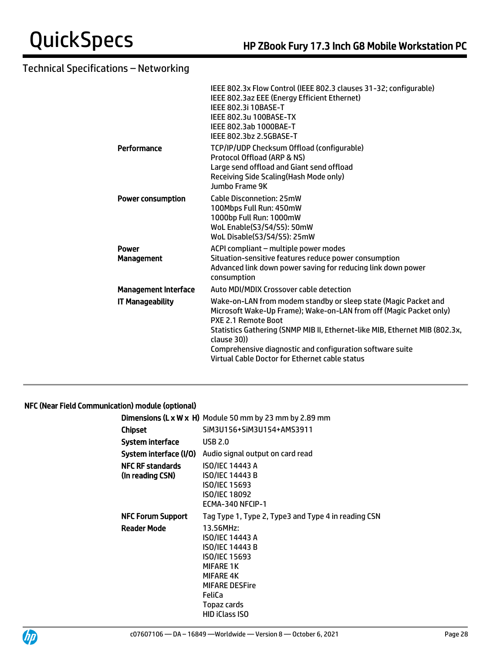|                             | IEEE 802.3x Flow Control (IEEE 802.3 clauses 31-32; configurable)<br>IEEE 802.3az EEE (Energy Efficient Ethernet)<br><b>IEEE 802.3i 10BASE-T</b><br>IEEE 802.3u 100BASE-TX<br>IEEE 802.3ab 1000BAE-T<br>IEEE 802.3bz 2.5GBASE-T                                                                                                                                           |
|-----------------------------|---------------------------------------------------------------------------------------------------------------------------------------------------------------------------------------------------------------------------------------------------------------------------------------------------------------------------------------------------------------------------|
| Performance                 | TCP/IP/UDP Checksum Offload (configurable)<br>Protocol Offload (ARP & NS)<br>Large send offload and Giant send offload<br>Receiving Side Scaling (Hash Mode only)<br>Jumbo Frame 9K                                                                                                                                                                                       |
| <b>Power consumption</b>    | <b>Cable Disconnetion: 25mW</b><br>100Mbps Full Run: 450mW<br>1000bp Full Run: 1000mW<br>WoL Enable(S3/S4/S5): 50mW<br>WoL Disable(S3/S4/S5): 25mW                                                                                                                                                                                                                        |
| Power<br><b>Management</b>  | ACPI compliant - multiple power modes<br>Situation-sensitive features reduce power consumption<br>Advanced link down power saving for reducing link down power<br>consumption                                                                                                                                                                                             |
| <b>Management Interface</b> | Auto MDI/MDIX Crossover cable detection                                                                                                                                                                                                                                                                                                                                   |
| <b>IT Manageability</b>     | Wake-on-LAN from modem standby or sleep state (Magic Packet and<br>Microsoft Wake-Up Frame); Wake-on-LAN from off (Magic Packet only)<br>PXE 2.1 Remote Boot<br>Statistics Gathering (SNMP MIB II, Ethernet-like MIB, Ethernet MIB (802.3x,<br>clause 30))<br>Comprehensive diagnostic and configuration software suite<br>Virtual Cable Doctor for Ethernet cable status |
|                             |                                                                                                                                                                                                                                                                                                                                                                           |

## NFC (Near Field Communication) module (optional)

|                                             | <b>Dimensions (L x W x H)</b> Module 50 mm by 23 mm by 2.89 mm                                                                                                                      |
|---------------------------------------------|-------------------------------------------------------------------------------------------------------------------------------------------------------------------------------------|
| Chipset                                     | SiM3U156+SiM3U154+AMS3911                                                                                                                                                           |
| System interface                            | <b>USB 2.0</b>                                                                                                                                                                      |
|                                             | <b>System interface (I/O)</b> Audio signal output on card read                                                                                                                      |
| <b>NFC RF standards</b><br>(In reading CSN) | <b>ISO/IEC 14443 A</b><br><b>ISO/IEC 14443 B</b><br><b>ISO/IEC 15693</b><br>ISO/IEC 18092<br>ECMA-340 NFCIP-1                                                                       |
| <b>NFC Forum Support</b>                    | Tag Type 1, Type 2, Type3 and Type 4 in reading CSN                                                                                                                                 |
| <b>Reader Mode</b>                          | 13.56MHz:<br>ISO/IEC 14443 A<br>ISO/IEC 14443 B<br><b>ISO/IEC 15693</b><br><b>MIFARE 1K</b><br><b>MIFARE 4K</b><br><b>MIFARE DESFire</b><br>FeliCa<br>Topaz cards<br>HID iClass ISO |



j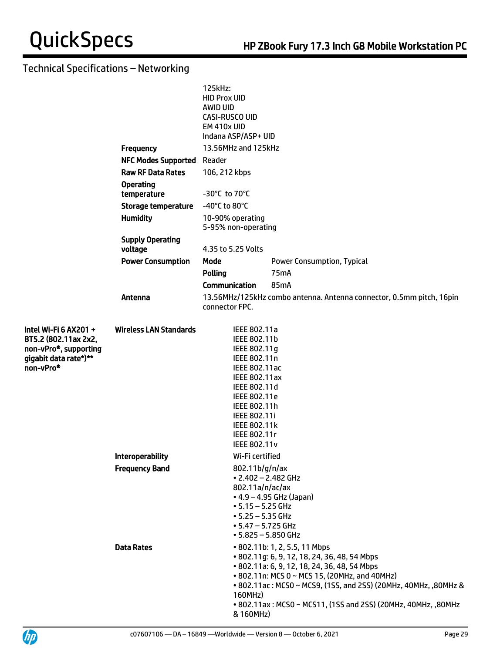|                                                                                                              |                                    | 125kHz:<br><b>HID Prox UID</b><br>AWID UID<br>CASI-RUSCO UID<br><b>EM 410x UID</b><br>Indana ASP/ASP+ UID                                                                                                                                  |                                                                                                                                                                                                                                                                                                                    |  |  |  |
|--------------------------------------------------------------------------------------------------------------|------------------------------------|--------------------------------------------------------------------------------------------------------------------------------------------------------------------------------------------------------------------------------------------|--------------------------------------------------------------------------------------------------------------------------------------------------------------------------------------------------------------------------------------------------------------------------------------------------------------------|--|--|--|
|                                                                                                              | <b>Frequency</b>                   | 13.56MHz and 125kHz                                                                                                                                                                                                                        |                                                                                                                                                                                                                                                                                                                    |  |  |  |
|                                                                                                              | <b>NFC Modes Supported Reader</b>  | 106, 212 kbps                                                                                                                                                                                                                              |                                                                                                                                                                                                                                                                                                                    |  |  |  |
|                                                                                                              | <b>Raw RF Data Rates</b>           |                                                                                                                                                                                                                                            |                                                                                                                                                                                                                                                                                                                    |  |  |  |
|                                                                                                              | <b>Operating</b><br>temperature    | -30°C to 70°C                                                                                                                                                                                                                              |                                                                                                                                                                                                                                                                                                                    |  |  |  |
|                                                                                                              | <b>Storage temperature</b>         | -40°C to 80°C                                                                                                                                                                                                                              |                                                                                                                                                                                                                                                                                                                    |  |  |  |
|                                                                                                              | <b>Humidity</b>                    | 10-90% operating<br>5-95% non-operating                                                                                                                                                                                                    |                                                                                                                                                                                                                                                                                                                    |  |  |  |
|                                                                                                              | <b>Supply Operating</b><br>voltage | 4.35 to 5.25 Volts                                                                                                                                                                                                                         |                                                                                                                                                                                                                                                                                                                    |  |  |  |
|                                                                                                              | <b>Power Consumption</b>           | Mode                                                                                                                                                                                                                                       | <b>Power Consumption, Typical</b>                                                                                                                                                                                                                                                                                  |  |  |  |
|                                                                                                              |                                    | <b>Polling</b>                                                                                                                                                                                                                             | 75 <sub>m</sub> A                                                                                                                                                                                                                                                                                                  |  |  |  |
|                                                                                                              |                                    | <b>Communication</b>                                                                                                                                                                                                                       | 85mA                                                                                                                                                                                                                                                                                                               |  |  |  |
|                                                                                                              | Antenna                            | connector FPC.                                                                                                                                                                                                                             | 13.56MHz/125kHz combo antenna. Antenna connector, 0.5mm pitch, 16pin                                                                                                                                                                                                                                               |  |  |  |
| Intel Wi-Fi 6 AX201 +<br>BT5.2 (802.11ax 2x2,<br>non-vPro®, supporting<br>gigabit data rate*)**<br>non-vPro® | <b>Wireless LAN Standards</b>      | IEEE 802.11a<br><b>IEEE 802.11b</b><br>IEEE 802.11g<br>IEEE 802.11n<br>IEEE 802.11ac<br>IEEE 802.11ax<br>IEEE 802.11d<br>IEEE 802.11e<br>IEEE 802.11h<br><b>IEEE 802.11i</b><br><b>IEEE 802.11k</b><br>IEEE 802.11r<br><b>IEEE 802.11v</b> |                                                                                                                                                                                                                                                                                                                    |  |  |  |
|                                                                                                              | <b>Interoperability</b>            | Wi-Fi certified                                                                                                                                                                                                                            |                                                                                                                                                                                                                                                                                                                    |  |  |  |
|                                                                                                              | <b>Frequency Band</b>              | 802.11b/g/n/ax<br>$\cdot$ 2.402 - 2.482 GHz<br>802.11a/n/ac/ax<br>$\bullet$ 4.9 – 4.95 GHz (Japan)<br>$• 5.15 - 5.25$ GHz<br>$• 5.25 - 5.35$ GHz<br>$• 5.47 - 5.725$ GHz<br>$• 5.825 - 5.850$ GHz                                          |                                                                                                                                                                                                                                                                                                                    |  |  |  |
|                                                                                                              | <b>Data Rates</b>                  | 160MHz)<br>& 160MHz)                                                                                                                                                                                                                       | • 802.11b: 1, 2, 5.5, 11 Mbps<br>• 802.11g: 6, 9, 12, 18, 24, 36, 48, 54 Mbps<br>• 802.11a: 6, 9, 12, 18, 24, 36, 48, 54 Mbps<br>• 802.11n: MCS 0 ~ MCS 15, (20MHz, and 40MHz)<br>• 802.11ac: MCS0 ~ MCS9, (1SS, and 2SS) (20MHz, 40MHz, ,80MHz &<br>• 802.11ax: MCS0 ~ MCS11, (1SS and 2SS) (20MHz, 40MHz, ,80MHz |  |  |  |

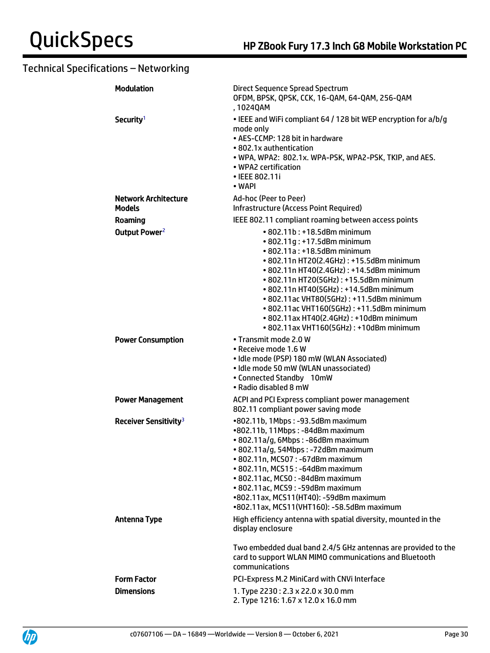| <b>Modulation</b>                     | Direct Sequence Spread Spectrum<br>OFDM, BPSK, QPSK, CCK, 16-QAM, 64-QAM, 256-QAM<br>, 1024QAM                                                                                                                                                                                                                                                                                                                                                       |  |  |
|---------------------------------------|------------------------------------------------------------------------------------------------------------------------------------------------------------------------------------------------------------------------------------------------------------------------------------------------------------------------------------------------------------------------------------------------------------------------------------------------------|--|--|
| Security <sup>1</sup>                 | • IEEE and WiFi compliant 64 / 128 bit WEP encryption for a/b/g<br>mode only<br>• AES-CCMP: 128 bit in hardware<br>• 802.1x authentication<br>. WPA, WPA2: 802.1x. WPA-PSK, WPA2-PSK, TKIP, and AES.<br>• WPA2 certification<br>• IEEE 802.11i<br>• WAPI                                                                                                                                                                                             |  |  |
| <b>Network Architecture</b><br>Models | Ad-hoc (Peer to Peer)<br>Infrastructure (Access Point Required)                                                                                                                                                                                                                                                                                                                                                                                      |  |  |
| Roaming                               | IEEE 802.11 compliant roaming between access points                                                                                                                                                                                                                                                                                                                                                                                                  |  |  |
| Output Power <sup>2</sup>             | • 802.11b: +18.5dBm minimum<br>• 802.11g: +17.5dBm minimum<br>• 802.11a: +18.5dBm minimum<br>• 802.11n HT20(2.4GHz): +15.5dBm minimum<br>• 802.11n HT40(2.4GHz): +14.5dBm minimum<br>• 802.11n HT20(5GHz): +15.5dBm minimum<br>• 802.11n HT40(5GHz): +14.5dBm minimum<br>• 802.11ac VHT80(5GHz): +11.5dBm minimum<br>• 802.11ac VHT160(5GHz): +11.5dBm minimum<br>• 802.11ax HT40(2.4GHz): +10dBm minimum<br>• 802.11ax VHT160(5GHz): +10dBm minimum |  |  |
| <b>Power Consumption</b>              | • Transmit mode 2.0 W<br>• Receive mode 1.6 W<br>· Idle mode (PSP) 180 mW (WLAN Associated)<br>· Idle mode 50 mW (WLAN unassociated)<br>• Connected Standby 10mW<br>• Radio disabled 8 mW                                                                                                                                                                                                                                                            |  |  |
| <b>Power Management</b>               | ACPI and PCI Express compliant power management<br>802.11 compliant power saving mode                                                                                                                                                                                                                                                                                                                                                                |  |  |
| Receiver Sensitivity <sup>3</sup>     | •802.11b, 1Mbps: -93.5dBm maximum<br>•802.11b, 11Mbps: -84dBm maximum<br>• 802.11a/g, 6Mbps: -86dBm maximum<br>• 802.11a/g, 54Mbps: -72dBm maximum<br>• 802.11n, MCS07: -67dBm maximum<br>• 802.11n, MCS15: -64dBm maximum<br>• 802.11ac, MCS0: -84dBm maximum<br>• 802.11ac, MCS9: -59dBm maximum<br>•802.11ax, MCS11(HT40): -59dBm maximum<br>•802.11ax, MCS11(VHT160): -58.5dBm maximum                                                           |  |  |
| <b>Antenna Type</b>                   | High efficiency antenna with spatial diversity, mounted in the<br>display enclosure                                                                                                                                                                                                                                                                                                                                                                  |  |  |
|                                       | Two embedded dual band 2.4/5 GHz antennas are provided to the<br>card to support WLAN MIMO communications and Bluetooth<br>communications                                                                                                                                                                                                                                                                                                            |  |  |
| <b>Form Factor</b>                    | PCI-Express M.2 MiniCard with CNVi Interface                                                                                                                                                                                                                                                                                                                                                                                                         |  |  |
| <b>Dimensions</b>                     | 1. Type 2230: 2.3 x 22.0 x 30.0 mm<br>2. Type 1216: 1.67 x 12.0 x 16.0 mm                                                                                                                                                                                                                                                                                                                                                                            |  |  |

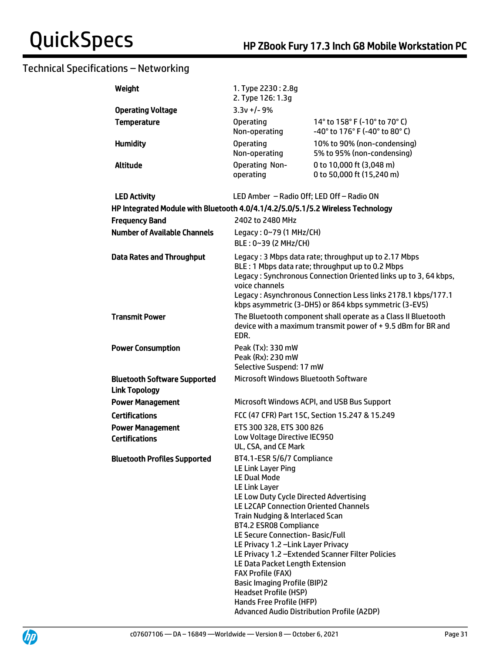| 1. Type 2230: 2.8g<br>2. Type 126: 1.3g                                                                                                                                                                                                                                                                                                                                                                                                                |                                                                                                                                                                                                                                                                                                      |
|--------------------------------------------------------------------------------------------------------------------------------------------------------------------------------------------------------------------------------------------------------------------------------------------------------------------------------------------------------------------------------------------------------------------------------------------------------|------------------------------------------------------------------------------------------------------------------------------------------------------------------------------------------------------------------------------------------------------------------------------------------------------|
| $3.3v +/- 9%$                                                                                                                                                                                                                                                                                                                                                                                                                                          |                                                                                                                                                                                                                                                                                                      |
| <b>Operating</b><br>Non-operating                                                                                                                                                                                                                                                                                                                                                                                                                      | 14° to 158° F (-10° to 70° C)<br>-40° to 176° F (-40° to 80° C)                                                                                                                                                                                                                                      |
| <b>Operating</b><br>Non-operating                                                                                                                                                                                                                                                                                                                                                                                                                      | 10% to 90% (non-condensing)<br>5% to 95% (non-condensing)                                                                                                                                                                                                                                            |
| Operating Non-<br>operating                                                                                                                                                                                                                                                                                                                                                                                                                            | 0 to 10,000 ft (3,048 m)<br>0 to 50,000 ft (15,240 m)                                                                                                                                                                                                                                                |
|                                                                                                                                                                                                                                                                                                                                                                                                                                                        |                                                                                                                                                                                                                                                                                                      |
|                                                                                                                                                                                                                                                                                                                                                                                                                                                        |                                                                                                                                                                                                                                                                                                      |
| 2402 to 2480 MHz                                                                                                                                                                                                                                                                                                                                                                                                                                       |                                                                                                                                                                                                                                                                                                      |
|                                                                                                                                                                                                                                                                                                                                                                                                                                                        |                                                                                                                                                                                                                                                                                                      |
| BLE: 0~39 (2 MHz/CH)                                                                                                                                                                                                                                                                                                                                                                                                                                   |                                                                                                                                                                                                                                                                                                      |
| voice channels                                                                                                                                                                                                                                                                                                                                                                                                                                         | Legacy: 3 Mbps data rate; throughput up to 2.17 Mbps<br>BLE: 1 Mbps data rate; throughput up to 0.2 Mbps<br>Legacy: Synchronous Connection Oriented links up to 3, 64 kbps,<br>Legacy: Asynchronous Connection Less links 2178.1 kbps/177.1<br>kbps asymmetric (3-DH5) or 864 kbps symmetric (3-EV5) |
| EDR.                                                                                                                                                                                                                                                                                                                                                                                                                                                   | The Bluetooth component shall operate as a Class II Bluetooth<br>device with a maximum transmit power of +9.5 dBm for BR and                                                                                                                                                                         |
| Peak (Tx): 330 mW<br>Peak (Rx): 230 mW<br>Selective Suspend: 17 mW                                                                                                                                                                                                                                                                                                                                                                                     |                                                                                                                                                                                                                                                                                                      |
| <b>Microsoft Windows Bluetooth Software</b>                                                                                                                                                                                                                                                                                                                                                                                                            |                                                                                                                                                                                                                                                                                                      |
|                                                                                                                                                                                                                                                                                                                                                                                                                                                        | Microsoft Windows ACPI, and USB Bus Support                                                                                                                                                                                                                                                          |
|                                                                                                                                                                                                                                                                                                                                                                                                                                                        | FCC (47 CFR) Part 15C, Section 15.247 & 15.249                                                                                                                                                                                                                                                       |
| ETS 300 328, ETS 300 826<br>Low Voltage Directive IEC950<br>UL, CSA, and CE Mark                                                                                                                                                                                                                                                                                                                                                                       |                                                                                                                                                                                                                                                                                                      |
| LE Link Layer Ping<br><b>LE Dual Mode</b><br>LE Link Layer<br>LE Low Duty Cycle Directed Advertising<br>LE L2CAP Connection Oriented Channels<br>Train Nudging & Interlaced Scan<br>BT4.2 ESR08 Compliance<br>LE Secure Connection-Basic/Full<br>LE Privacy 1.2 - Link Layer Privacy<br>LE Data Packet Length Extension<br><b>FAX Profile (FAX)</b><br><b>Basic Imaging Profile (BIP)2</b><br><b>Headset Profile (HSP)</b><br>Hands Free Profile (HFP) | LE Privacy 1.2 - Extended Scanner Filter Policies                                                                                                                                                                                                                                                    |
| <b>Operating Voltage</b><br><b>Frequency Band</b><br><b>Number of Available Channels</b><br><b>Data Rates and Throughput</b><br><b>Transmit Power</b><br><b>Power Consumption</b><br><b>Bluetooth Software Supported</b><br><b>Power Management</b><br><b>Power Management</b><br><b>Bluetooth Profiles Supported</b>                                                                                                                                  | LED Amber - Radio Off; LED Off - Radio ON<br>HP Integrated Module with Bluetooth 4.0/4.1/4.2/5.0/5.1/5.2 Wireless Technology<br>Legacy: 0~79 (1 MHz/CH)<br>BT4.1-ESR 5/6/7 Compliance<br>Advanced Audio Distribution Profile (A2DP)                                                                  |

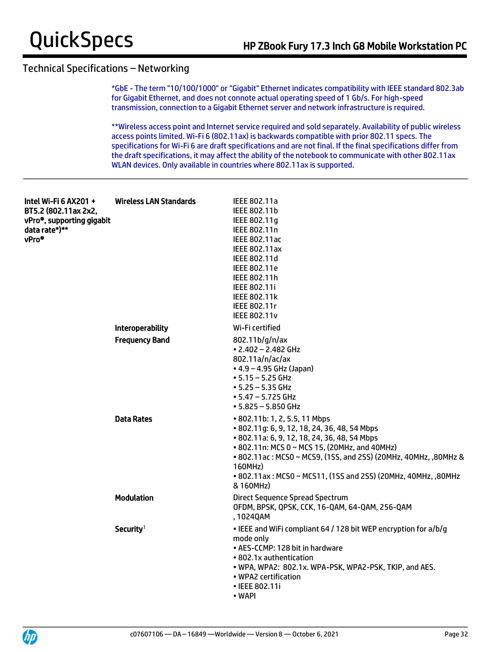\*GbE - The term "10/100/1000" or "Gigabit" Ethernet indicates compatibility with IEEE standard 802.3ab for Gigabit Ethernet, and does not connote actual operating speed of 1 Gb/s. For high-speed transmission, connection to a Gigabit Ethernet server and network infrastructure is required.

\*\*Wireless access point and Internet service required and sold separately. Availability of public wireless access points limited. Wi-Fi 6 (802.11ax) is backwards compatible with prior 802.11 specs. The specifications for Wi-Fi 6 are draft specifications and are not final. If the final specifications differ from the draft specifications, it may affect the ability of the notebook to communicate with other 802.11ax WLAN devices. Only available in countries where 802.11ax is supported.

| Intel Wi-Fi 6 AX201 +<br>BT5.2 (802.11ax 2x2,<br>vPro®, supporting gigabit<br>data rate*)**<br>vPro <sup>®</sup> | <b>Wireless LAN Standards</b> | IEEE 802.11a<br>IEEE 802.11b<br>IEEE 802.11g<br>IEEE 802.11n<br>IEEE 802.11ac<br><b>IEEE 802.11ax</b><br>IEEE 802.11d<br>IEEE 802.11e<br>IEEE 802.11h<br><b>IEEE 802.11i</b><br><b>IEEE 802.11k</b><br>IEEE 802.11r<br><b>IEEE 802.11v</b>                                                                                                 |
|------------------------------------------------------------------------------------------------------------------|-------------------------------|--------------------------------------------------------------------------------------------------------------------------------------------------------------------------------------------------------------------------------------------------------------------------------------------------------------------------------------------|
|                                                                                                                  | Interoperability              | Wi-Fi certified                                                                                                                                                                                                                                                                                                                            |
|                                                                                                                  | <b>Frequency Band</b>         | 802.11b/g/n/ax<br>• 2.402 - 2.482 GHz<br>802.11a/n/ac/ax<br>$\bullet$ 4.9 – 4.95 GHz (Japan)<br>$• 5.15 - 5.25$ GHz<br>$• 5.25 - 5.35$ GHz<br>$\bullet$ 5.47 – 5.725 GHz<br>$• 5.825 - 5.850$ GHz                                                                                                                                          |
|                                                                                                                  | <b>Data Rates</b>             | • 802.11b: 1, 2, 5.5, 11 Mbps<br>• 802.11g: 6, 9, 12, 18, 24, 36, 48, 54 Mbps<br>• 802.11a: 6, 9, 12, 18, 24, 36, 48, 54 Mbps<br>• 802.11n: MCS 0 ~ MCS 15, (20MHz, and 40MHz)<br>• 802.11ac: MCS0 ~ MCS9, (1SS, and 2SS) (20MHz, 40MHz, ,80MHz &<br>160MHz)<br>• 802.11ax: MCS0 ~ MCS11, (1SS and 2SS) (20MHz, 40MHz, ,80MHz<br>& 160MHz) |
|                                                                                                                  | <b>Modulation</b>             | Direct Sequence Spread Spectrum<br>OFDM, BPSK, QPSK, CCK, 16-QAM, 64-QAM, 256-QAM<br>, 1024QAM                                                                                                                                                                                                                                             |
|                                                                                                                  | Security <sup>1</sup>         | . IEEE and WiFi compliant 64 / 128 bit WEP encryption for a/b/g<br>mode only<br>• AES-CCMP: 128 bit in hardware<br>• 802.1x authentication<br>. WPA, WPA2: 802.1x. WPA-PSK, WPA2-PSK, TKIP, and AES.<br>• WPA2 certification<br>• IEEE 802.11i<br>• WAPI                                                                                   |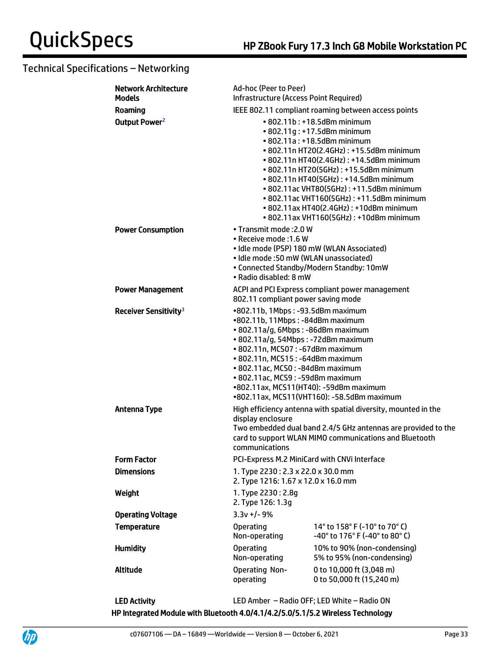| <b>Network Architecture</b><br><b>Models</b> | Ad-hoc (Peer to Peer)<br><b>Infrastructure (Access Point Required)</b>                                                                                                                                                                                                                                                                                                                                                                               |                                                                 |  |
|----------------------------------------------|------------------------------------------------------------------------------------------------------------------------------------------------------------------------------------------------------------------------------------------------------------------------------------------------------------------------------------------------------------------------------------------------------------------------------------------------------|-----------------------------------------------------------------|--|
| Roaming                                      | IEEE 802.11 compliant roaming between access points                                                                                                                                                                                                                                                                                                                                                                                                  |                                                                 |  |
| Output Power <sup>2</sup>                    | • 802.11b: +18.5dBm minimum<br>• 802.11g: +17.5dBm minimum<br>• 802.11a: +18.5dBm minimum<br>• 802.11n HT20(2.4GHz): +15.5dBm minimum<br>• 802.11n HT40(2.4GHz): +14.5dBm minimum<br>• 802.11n HT20(5GHz): +15.5dBm minimum<br>• 802.11n HT40(5GHz): +14.5dBm minimum<br>• 802.11ac VHT80(5GHz): +11.5dBm minimum<br>• 802.11ac VHT160(5GHz): +11.5dBm minimum<br>• 802.11ax HT40(2.4GHz): +10dBm minimum<br>• 802.11ax VHT160(5GHz): +10dBm minimum |                                                                 |  |
| <b>Power Consumption</b>                     | • Transmit mode: 2.0 W<br>• Receive mode: 1.6 W<br>• Idle mode (PSP) 180 mW (WLAN Associated)<br>• Idle mode: 50 mW (WLAN unassociated)<br>• Connected Standby/Modern Standby: 10mW<br>• Radio disabled: 8 mW                                                                                                                                                                                                                                        |                                                                 |  |
| <b>Power Management</b>                      | 802.11 compliant power saving mode                                                                                                                                                                                                                                                                                                                                                                                                                   | ACPI and PCI Express compliant power management                 |  |
| Receiver Sensitivity <sup>3</sup>            | •802.11b, 1Mbps: -93.5dBm maximum<br>•802.11b, 11Mbps: -84dBm maximum<br>• 802.11a/g, 6Mbps: -86dBm maximum<br>• 802.11a/g, 54Mbps: -72dBm maximum<br>• 802.11n, MCS07: -67dBm maximum<br>• 802.11n, MCS15: -64dBm maximum<br>• 802.11ac, MCS0: -84dBm maximum<br>• 802.11ac, MCS9: -59dBm maximum<br>•802.11ax, MCS11(HT40): -59dBm maximum<br>•802.11ax, MCS11(VHT160): -58.5dBm maximum                                                           |                                                                 |  |
| <b>Antenna Type</b>                          | High efficiency antenna with spatial diversity, mounted in the<br>display enclosure<br>Two embedded dual band 2.4/5 GHz antennas are provided to the<br>card to support WLAN MIMO communications and Bluetooth<br>communications                                                                                                                                                                                                                     |                                                                 |  |
| <b>Form Factor</b>                           | PCI-Express M.2 MiniCard with CNVi Interface                                                                                                                                                                                                                                                                                                                                                                                                         |                                                                 |  |
| <b>Dimensions</b>                            | 1. Type 2230: 2.3 x 22.0 x 30.0 mm<br>2. Type 1216: 1.67 x 12.0 x 16.0 mm                                                                                                                                                                                                                                                                                                                                                                            |                                                                 |  |
| Weight                                       | 1. Type 2230: 2.8g<br>2. Type 126: 1.3g                                                                                                                                                                                                                                                                                                                                                                                                              |                                                                 |  |
| <b>Operating Voltage</b>                     | $3.3v +/- 9%$                                                                                                                                                                                                                                                                                                                                                                                                                                        |                                                                 |  |
| <b>Temperature</b>                           | <b>Operating</b><br>Non-operating                                                                                                                                                                                                                                                                                                                                                                                                                    | 14° to 158° F (-10° to 70° C)<br>-40° to 176° F (-40° to 80° C) |  |
| <b>Humidity</b>                              | <b>Operating</b><br>Non-operating                                                                                                                                                                                                                                                                                                                                                                                                                    | 10% to 90% (non-condensing)<br>5% to 95% (non-condensing)       |  |
| Altitude                                     | Operating Non-<br>operating                                                                                                                                                                                                                                                                                                                                                                                                                          | 0 to 10,000 ft (3,048 m)<br>0 to 50,000 ft (15,240 m)           |  |

LED Activity LED Amber – Radio OFF; LED White – Radio ON HP Integrated Module with Bluetooth 4.0/4.1/4.2/5.0/5.1/5.2 Wireless Technology

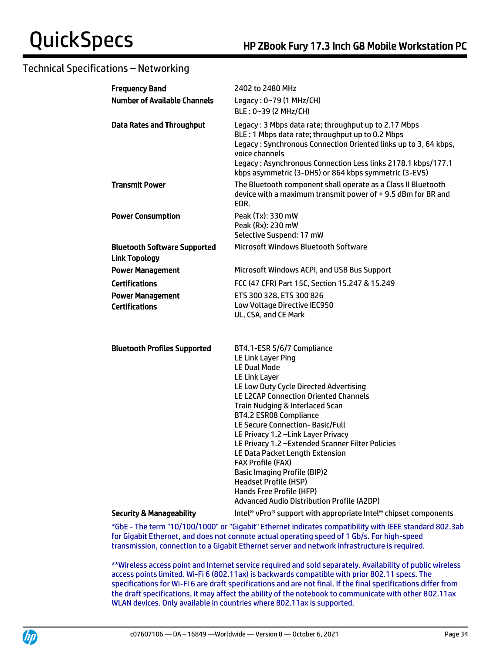| <b>Frequency Band</b>                                       | 2402 to 2480 MHz                                                                                                                                                                                                                                                                                                       |
|-------------------------------------------------------------|------------------------------------------------------------------------------------------------------------------------------------------------------------------------------------------------------------------------------------------------------------------------------------------------------------------------|
| <b>Number of Available Channels</b>                         | Legacy: 0~79 (1 MHz/CH)                                                                                                                                                                                                                                                                                                |
|                                                             | BLE: 0~39 (2 MHz/CH)                                                                                                                                                                                                                                                                                                   |
| <b>Data Rates and Throughput</b>                            | Legacy: 3 Mbps data rate; throughput up to 2.17 Mbps<br>BLE: 1 Mbps data rate; throughput up to 0.2 Mbps<br>Legacy: Synchronous Connection Oriented links up to 3, 64 kbps,<br>voice channels<br>Legacy: Asynchronous Connection Less links 2178.1 kbps/177.1<br>kbps asymmetric (3-DH5) or 864 kbps symmetric (3-EV5) |
| <b>Transmit Power</b>                                       | The Bluetooth component shall operate as a Class II Bluetooth<br>device with a maximum transmit power of +9.5 dBm for BR and<br>EDR.                                                                                                                                                                                   |
| <b>Power Consumption</b>                                    | Peak (Tx): 330 mW                                                                                                                                                                                                                                                                                                      |
|                                                             | Peak (Rx): 230 mW                                                                                                                                                                                                                                                                                                      |
|                                                             | Selective Suspend: 17 mW<br><b>Microsoft Windows Bluetooth Software</b>                                                                                                                                                                                                                                                |
| <b>Bluetooth Software Supported</b><br><b>Link Topology</b> |                                                                                                                                                                                                                                                                                                                        |
| <b>Power Management</b>                                     | Microsoft Windows ACPI, and USB Bus Support                                                                                                                                                                                                                                                                            |
| <b>Certifications</b>                                       | FCC (47 CFR) Part 15C, Section 15.247 & 15.249                                                                                                                                                                                                                                                                         |
| <b>Power Management</b>                                     | ETS 300 328, ETS 300 826                                                                                                                                                                                                                                                                                               |
| <b>Certifications</b>                                       | Low Voltage Directive IEC950<br>UL, CSA, and CE Mark                                                                                                                                                                                                                                                                   |
| <b>Bluetooth Profiles Supported</b>                         | BT4.1-ESR 5/6/7 Compliance                                                                                                                                                                                                                                                                                             |
|                                                             | LE Link Layer Ping                                                                                                                                                                                                                                                                                                     |
|                                                             | <b>LE Dual Mode</b>                                                                                                                                                                                                                                                                                                    |
|                                                             | LE Link Layer                                                                                                                                                                                                                                                                                                          |
|                                                             | LE Low Duty Cycle Directed Advertising<br><b>LE L2CAP Connection Oriented Channels</b>                                                                                                                                                                                                                                 |
|                                                             | Train Nudging & Interlaced Scan                                                                                                                                                                                                                                                                                        |
|                                                             | BT4.2 ESR08 Compliance                                                                                                                                                                                                                                                                                                 |
|                                                             | LE Secure Connection- Basic/Full<br>LE Privacy 1.2 - Link Layer Privacy                                                                                                                                                                                                                                                |
|                                                             | LE Privacy 1.2 - Extended Scanner Filter Policies                                                                                                                                                                                                                                                                      |
|                                                             | LE Data Packet Length Extension                                                                                                                                                                                                                                                                                        |
|                                                             | <b>FAX Profile (FAX)</b>                                                                                                                                                                                                                                                                                               |
|                                                             | <b>Basic Imaging Profile (BIP)2</b><br><b>Headset Profile (HSP)</b>                                                                                                                                                                                                                                                    |
|                                                             | Hands Free Profile (HFP)                                                                                                                                                                                                                                                                                               |
|                                                             | <b>Advanced Audio Distribution Profile (A2DP)</b>                                                                                                                                                                                                                                                                      |
| <b>Security &amp; Manageability</b>                         | Intel <sup>®</sup> vPro <sup>®</sup> support with appropriate Intel <sup>®</sup> chipset components                                                                                                                                                                                                                    |

\*GbE - The term "10/100/1000" or "Gigabit" Ethernet indicates compatibility with IEEE standard 802.3ab for Gigabit Ethernet, and does not connote actual operating speed of 1 Gb/s. For high-speed transmission, connection to a Gigabit Ethernet server and network infrastructure is required.

\*\*Wireless access point and Internet service required and sold separately. Availability of public wireless access points limited. Wi-Fi 6 (802.11ax) is backwards compatible with prior 802.11 specs. The specifications for Wi-Fi 6 are draft specifications and are not final. If the final specifications differ from the draft specifications, it may affect the ability of the notebook to communicate with other 802.11ax WLAN devices. Only available in countries where 802.11ax is supported.

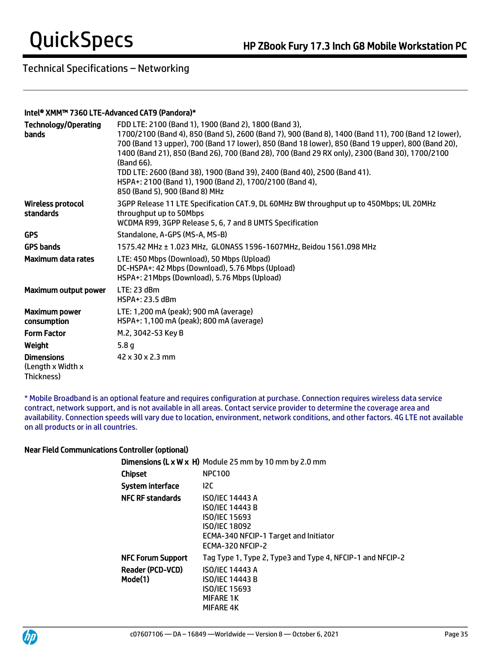### Intel® XMM™ 7360 LTE-Advanced CAT9 (Pandora)\*

| <b>Technology/Operating</b><br><b>bands</b>          | FDD LTE: 2100 (Band 1), 1900 (Band 2), 1800 (Band 3),<br>1700/2100 (Band 4), 850 (Band 5), 2600 (Band 7), 900 (Band 8), 1400 (Band 11), 700 (Band 12 lower),<br>700 (Band 13 upper), 700 (Band 17 lower), 850 (Band 18 lower), 850 (Band 19 upper), 800 (Band 20),<br>1400 (Band 21), 850 (Band 26), 700 (Band 28), 700 (Band 29 RX only), 2300 (Band 30), 1700/2100<br>(Band 66).<br>TDD LTE: 2600 (Band 38), 1900 (Band 39), 2400 (Band 40), 2500 (Band 41).<br>HSPA+: 2100 (Band 1), 1900 (Band 2), 1700/2100 (Band 4),<br>850 (Band 5), 900 (Band 8) MHz |
|------------------------------------------------------|--------------------------------------------------------------------------------------------------------------------------------------------------------------------------------------------------------------------------------------------------------------------------------------------------------------------------------------------------------------------------------------------------------------------------------------------------------------------------------------------------------------------------------------------------------------|
| <b>Wireless protocol</b><br>standards                | 3GPP Release 11 LTE Specification CAT.9, DL 60MHz BW throughput up to 450Mbps; UL 20MHz<br>throughput up to 50Mbps<br>WCDMA R99, 3GPP Release 5, 6, 7 and 8 UMTS Specification                                                                                                                                                                                                                                                                                                                                                                               |
| <b>GPS</b>                                           | Standalone, A-GPS (MS-A, MS-B)                                                                                                                                                                                                                                                                                                                                                                                                                                                                                                                               |
| <b>GPS bands</b>                                     | 1575.42 MHz ± 1.023 MHz, GLONASS 1596-1607MHz, Beidou 1561.098 MHz                                                                                                                                                                                                                                                                                                                                                                                                                                                                                           |
| Maximum data rates                                   | LTE: 450 Mbps (Download), 50 Mbps (Upload)<br>DC-HSPA+: 42 Mbps (Download), 5.76 Mbps (Upload)<br>HSPA+: 21Mbps (Download), 5.76 Mbps (Upload)                                                                                                                                                                                                                                                                                                                                                                                                               |
| Maximum output power                                 | LTE: 23 dBm<br>HSPA+: 23.5 dBm                                                                                                                                                                                                                                                                                                                                                                                                                                                                                                                               |
| <b>Maximum power</b><br>consumption                  | LTE: 1,200 mA (peak); 900 mA (average)<br>HSPA+: 1,100 mA (peak); 800 mA (average)                                                                                                                                                                                                                                                                                                                                                                                                                                                                           |
| <b>Form Factor</b>                                   | M.2, 3042-S3 Key B                                                                                                                                                                                                                                                                                                                                                                                                                                                                                                                                           |
| Weight                                               | 5.8 <sub>g</sub>                                                                                                                                                                                                                                                                                                                                                                                                                                                                                                                                             |
| <b>Dimensions</b><br>(Length x Width x<br>Thickness) | 42 x 30 x 2.3 mm                                                                                                                                                                                                                                                                                                                                                                                                                                                                                                                                             |

\* Mobile Broadband is an optional feature and requires configuration at purchase. Connection requires wireless data service contract, network support, and is not available in all areas. Contact service provider to determine the coverage area and availability. Connection speeds will vary due to location, environment, network conditions, and other factors. 4G LTE not available on all products or in all countries.

### Near Field Communications Controller (optional)

|                                    | <b>Dimensions (L x W x H)</b> Module 25 mm by 10 mm by 2.0 mm                                                                                                 |  |  |
|------------------------------------|---------------------------------------------------------------------------------------------------------------------------------------------------------------|--|--|
| Chipset                            | <b>NPC100</b>                                                                                                                                                 |  |  |
| System interface                   | 12C                                                                                                                                                           |  |  |
| <b>NFC RF standards</b>            | <b>ISO/IEC 14443 A</b><br><b>ISO/IEC 14443 B</b><br><b>ISO/IEC 15693</b><br><b>ISO/IEC 18092</b><br>ECMA-340 NFCIP-1 Target and Initiator<br>ECMA-320 NFCIP-2 |  |  |
| <b>NFC Forum Support</b>           | Tag Type 1, Type 2, Type3 and Type 4, NFCIP-1 and NFCIP-2                                                                                                     |  |  |
| <b>Reader (PCD-VCD)</b><br>Mode(1) | <b>ISO/IEC 14443 A</b><br><b>ISO/IEC 14443 B</b><br><b>ISO/IEC 15693</b><br><b>MIFARE 1K</b><br>MIFARE 4K                                                     |  |  |

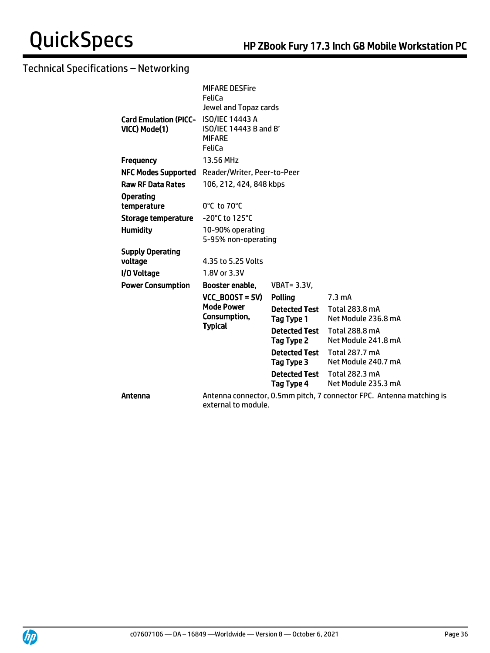|                                                        | <b>MIFARE DESFire</b><br>FeliCa<br>Jewel and Topaz cards |                                    |                                                                      |
|--------------------------------------------------------|----------------------------------------------------------|------------------------------------|----------------------------------------------------------------------|
| Card Emulation (PICC- ISO/IEC 14443 A<br>VICC) Mode(1) | ISO/IEC 14443 B and B'<br><b>MIFARE</b><br>FeliCa        |                                    |                                                                      |
| <b>Frequency</b>                                       | 13.56 MHz                                                |                                    |                                                                      |
| <b>NFC Modes Supported</b>                             | Reader/Writer, Peer-to-Peer                              |                                    |                                                                      |
| <b>Raw RF Data Rates</b>                               | 106, 212, 424, 848 kbps                                  |                                    |                                                                      |
| <b>Operating</b>                                       |                                                          |                                    |                                                                      |
| temperature                                            | $0^{\circ}$ C to 70 $^{\circ}$ C                         |                                    |                                                                      |
| Storage temperature                                    | -20°C to 125°C                                           |                                    |                                                                      |
| <b>Humidity</b>                                        | 10-90% operating<br>5-95% non-operating                  |                                    |                                                                      |
| <b>Supply Operating</b>                                |                                                          |                                    |                                                                      |
| voltage                                                | 4.35 to 5.25 Volts                                       |                                    |                                                                      |
| I/O Voltage                                            | 1.8V or 3.3V                                             |                                    |                                                                      |
| <b>Power Consumption</b>                               | Booster enable,                                          | <b>VBAT=3.3V,</b>                  |                                                                      |
|                                                        | $VCC_BOOST = 5V$                                         | Polling                            | $7.3 \text{ mA}$                                                     |
|                                                        | <b>Mode Power</b><br>Consumption,                        | <b>Detected Test</b><br>Tag Type 1 | Total 283.8 mA<br>Net Module 236.8 mA                                |
|                                                        | <b>Typical</b>                                           | <b>Detected Test</b><br>Tag Type 2 | <b>Total 288.8 mA</b><br>Net Module 241.8 mA                         |
|                                                        |                                                          | <b>Detected Test</b><br>Tag Type 3 | Total 287.7 mA<br>Net Module 240.7 mA                                |
|                                                        |                                                          | <b>Detected Test</b><br>Tag Type 4 | Total 282.3 mA<br>Net Module 235.3 mA                                |
| Antenna                                                | external to module.                                      |                                    | Antenna connector, 0.5mm pitch, 7 connector FPC. Antenna matching is |

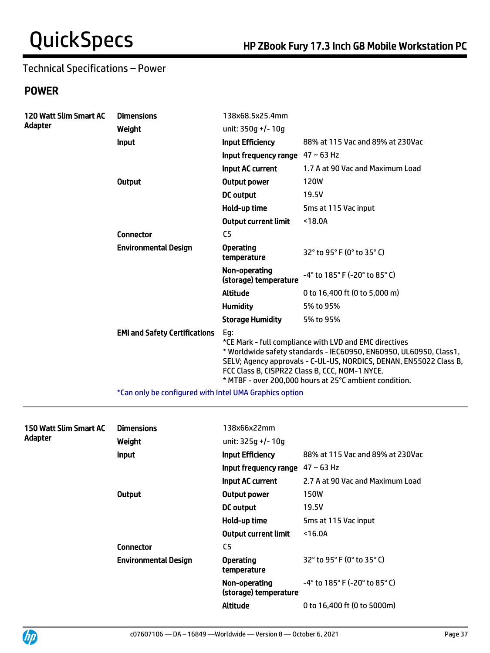# Technical Specifications – Power

# POWER

| 120 Watt Slim Smart AC | <b>Dimensions</b>                                      | 138x68.5x25.4mm                        |                                                                                                                                                                                                                                                                                                                |
|------------------------|--------------------------------------------------------|----------------------------------------|----------------------------------------------------------------------------------------------------------------------------------------------------------------------------------------------------------------------------------------------------------------------------------------------------------------|
| Adapter                | Weight                                                 | unit: $350q$ +/- 10q                   |                                                                                                                                                                                                                                                                                                                |
|                        | Input                                                  | <b>Input Efficiency</b>                | 88% at 115 Vac and 89% at 230Vac                                                                                                                                                                                                                                                                               |
|                        |                                                        | Input frequency range $47 \sim 63$ Hz  |                                                                                                                                                                                                                                                                                                                |
|                        |                                                        | Input AC current                       | 1.7 A at 90 Vac and Maximum Load                                                                                                                                                                                                                                                                               |
|                        | <b>Output</b>                                          | Output power                           | 120W                                                                                                                                                                                                                                                                                                           |
|                        |                                                        | <b>DC</b> output                       | 19.5V                                                                                                                                                                                                                                                                                                          |
|                        |                                                        | Hold-up time                           | 5ms at 115 Vac input                                                                                                                                                                                                                                                                                           |
|                        |                                                        | <b>Output current limit</b>            | $18.0A$                                                                                                                                                                                                                                                                                                        |
|                        | <b>Connector</b>                                       | C <sub>5</sub>                         |                                                                                                                                                                                                                                                                                                                |
|                        | <b>Environmental Design</b>                            | <b>Operating</b><br>temperature        | 32° to 95° F (0° to 35° C)                                                                                                                                                                                                                                                                                     |
|                        |                                                        | Non-operating<br>(storage) temperature | -4° to 185° F (-20° to 85° C)                                                                                                                                                                                                                                                                                  |
|                        |                                                        | <b>Altitude</b>                        | 0 to 16,400 ft (0 to 5,000 m)                                                                                                                                                                                                                                                                                  |
|                        |                                                        | <b>Humidity</b>                        | 5% to 95%                                                                                                                                                                                                                                                                                                      |
|                        |                                                        | <b>Storage Humidity</b>                | 5% to 95%                                                                                                                                                                                                                                                                                                      |
|                        | <b>EMI and Safety Certifications</b>                   | Eg:                                    | *CE Mark - full compliance with LVD and EMC directives<br>* Worldwide safety standards - IEC60950, EN60950, UL60950, Class1,<br>SELV; Agency approvals - C-UL-US, NORDICS, DENAN, EN55022 Class B,<br>FCC Class B, CISPR22 Class B, CCC, NOM-1 NYCE.<br>* MTBF - over 200,000 hours at 25°C ambient condition. |
|                        | *Can only be configured with Intel UMA Graphics option |                                        |                                                                                                                                                                                                                                                                                                                |

| <b>150 Watt Slim Smart AC</b><br>Adapter | <b>Dimensions</b><br>Weight | 138x66x22mm<br>unit: $325g$ +/- 10g    |                                                                      |
|------------------------------------------|-----------------------------|----------------------------------------|----------------------------------------------------------------------|
|                                          | <b>Input</b>                | <b>Input Efficiency</b>                | 88% at 115 Vac and 89% at 230Vac                                     |
|                                          |                             | Input frequency range                  | $47 \sim 63$ Hz                                                      |
|                                          |                             | Input AC current                       | 2.7 A at 90 Vac and Maximum Load                                     |
|                                          | <b>Output</b>               | Output power                           | <b>150W</b>                                                          |
|                                          |                             | DC output                              | 19.5V                                                                |
|                                          |                             | Hold-up time                           | 5ms at 115 Vac input                                                 |
|                                          |                             | <b>Output current limit</b>            | $16.0A$                                                              |
|                                          | <b>Connector</b>            | C <sub>5</sub>                         |                                                                      |
|                                          | <b>Environmental Design</b> | <b>Operating</b><br>temperature        | 32° to 95° F (0° to 35° C)                                           |
|                                          |                             | Non-operating<br>(storage) temperature | $-4^{\circ}$ to 185 $^{\circ}$ F (-20 $^{\circ}$ to 85 $^{\circ}$ C) |
|                                          |                             | Altitude                               | 0 to 16,400 ft (0 to 5000m)                                          |

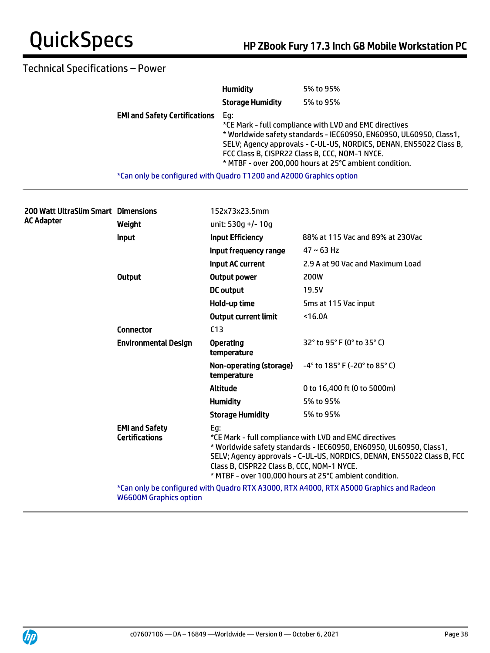# Technical Specifications – Power

|                                                                     | <b>Humidity</b>         | 5% to 95%                                                                                                                                                                                                                                                                                                      |
|---------------------------------------------------------------------|-------------------------|----------------------------------------------------------------------------------------------------------------------------------------------------------------------------------------------------------------------------------------------------------------------------------------------------------------|
|                                                                     | <b>Storage Humidity</b> | 5% to 95%                                                                                                                                                                                                                                                                                                      |
| <b>EMI and Safety Certifications</b>                                | Eg:                     | *CE Mark - full compliance with LVD and EMC directives<br>* Worldwide safety standards - IEC60950, EN60950, UL60950, Class1,<br>SELV; Agency approvals - C-UL-US, NORDICS, DENAN, EN55022 Class B,<br>FCC Class B, CISPR22 Class B, CCC, NOM-1 NYCE.<br>* MTBF - over 200,000 hours at 25°C ambient condition. |
| *Can only be configured with Quadro T1200 and A2000 Graphics option |                         |                                                                                                                                                                                                                                                                                                                |

| 200 Watt UltraSlim Smart Dimensions<br>AC Adapter |                                                                                                                          | 152x73x23.5mm                                                                                                                                                                                                                                                                                                         |                                  |
|---------------------------------------------------|--------------------------------------------------------------------------------------------------------------------------|-----------------------------------------------------------------------------------------------------------------------------------------------------------------------------------------------------------------------------------------------------------------------------------------------------------------------|----------------------------------|
|                                                   | Weight                                                                                                                   | unit: 530q +/- 10q                                                                                                                                                                                                                                                                                                    |                                  |
|                                                   | <b>Input</b>                                                                                                             | <b>Input Efficiency</b>                                                                                                                                                                                                                                                                                               | 88% at 115 Vac and 89% at 230Vac |
|                                                   |                                                                                                                          | Input frequency range                                                                                                                                                                                                                                                                                                 | $47 - 63$ Hz                     |
|                                                   |                                                                                                                          | <b>Input AC current</b>                                                                                                                                                                                                                                                                                               | 2.9 A at 90 Vac and Maximum Load |
|                                                   | <b>Output</b>                                                                                                            | <b>Output power</b>                                                                                                                                                                                                                                                                                                   | 200W                             |
|                                                   |                                                                                                                          | DC output                                                                                                                                                                                                                                                                                                             | 19.5V                            |
|                                                   |                                                                                                                          | Hold-up time                                                                                                                                                                                                                                                                                                          | 5ms at 115 Vac input             |
|                                                   |                                                                                                                          | <b>Output current limit</b>                                                                                                                                                                                                                                                                                           | $16.0A$                          |
|                                                   | <b>Connector</b>                                                                                                         | C <sub>13</sub>                                                                                                                                                                                                                                                                                                       |                                  |
|                                                   | <b>Environmental Design</b>                                                                                              | <b>Operating</b><br>temperature                                                                                                                                                                                                                                                                                       | 32° to 95° F (0° to 35° C)       |
|                                                   |                                                                                                                          | Non-operating (storage)<br>temperature                                                                                                                                                                                                                                                                                | -4° to 185° F (-20° to 85° C)    |
|                                                   |                                                                                                                          | Altitude                                                                                                                                                                                                                                                                                                              | 0 to 16,400 ft (0 to 5000m)      |
|                                                   |                                                                                                                          | <b>Humidity</b>                                                                                                                                                                                                                                                                                                       | 5% to 95%                        |
|                                                   |                                                                                                                          | <b>Storage Humidity</b>                                                                                                                                                                                                                                                                                               | 5% to 95%                        |
|                                                   | <b>EMI and Safety</b><br><b>Certifications</b>                                                                           | Eg:<br>*CE Mark - full compliance with LVD and EMC directives<br>* Worldwide safety standards - IEC60950, EN60950, UL60950, Class1,<br>SELV; Agency approvals - C-UL-US, NORDICS, DENAN, EN55022 Class B, FCC<br>Class B, CISPR22 Class B, CCC, NOM-1 NYCE.<br>* MTBF - over 100,000 hours at 25°C ambient condition. |                                  |
|                                                   | *Can only be configured with Quadro RTX A3000, RTX A4000, RTX A5000 Graphics and Radeon<br><b>W6600M Graphics option</b> |                                                                                                                                                                                                                                                                                                                       |                                  |
|                                                   |                                                                                                                          |                                                                                                                                                                                                                                                                                                                       |                                  |

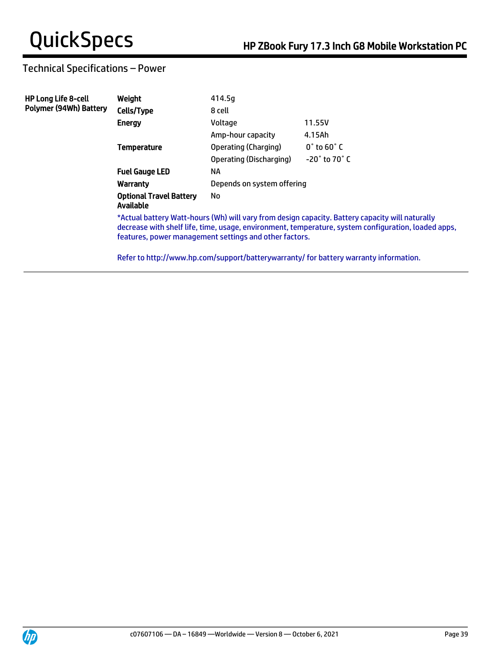# Technical Specifications – Power

| HP Long Life 8-cell    | Weiaht                                      | 414.5g                                                 |                                                                                                                                                                                                        |
|------------------------|---------------------------------------------|--------------------------------------------------------|--------------------------------------------------------------------------------------------------------------------------------------------------------------------------------------------------------|
| Polymer (94Wh) Battery | Cells/Type                                  | 8 cell                                                 |                                                                                                                                                                                                        |
|                        | <b>Energy</b>                               | Voltage                                                | 11.55V                                                                                                                                                                                                 |
|                        |                                             | Amp-hour capacity                                      | 4.15Ah                                                                                                                                                                                                 |
|                        | <b>Temperature</b>                          | Operating (Charging)                                   | $0^\circ$ to 60 $^\circ$ C                                                                                                                                                                             |
|                        |                                             | Operating (Discharging)                                | $-20^\circ$ to 70 $^\circ$ C                                                                                                                                                                           |
|                        | <b>Fuel Gauge LED</b>                       | <b>NA</b>                                              |                                                                                                                                                                                                        |
|                        | Warranty                                    | Depends on system offering                             |                                                                                                                                                                                                        |
|                        | <b>Optional Travel Battery</b><br>Available | No                                                     |                                                                                                                                                                                                        |
|                        |                                             | features, power management settings and other factors. | *Actual battery Watt-hours (Wh) will vary from design capacity. Battery capacity will naturally<br>decrease with shelf life, time, usage, environment, temperature, system configuration, loaded apps, |

Refer to http://www.hp.com/support/batterywarranty/ for battery warranty information.

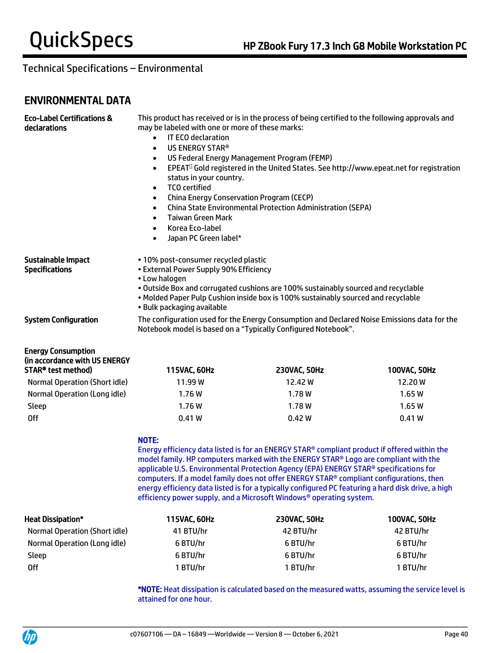# ENVIRONMENTAL DATA

| <b>Eco-Label Certifications &amp;</b><br>declarations                            | This product has received or is in the process of being certified to the following approvals and<br>may be labeled with one or more of these marks:<br>IT ECO declaration<br>$\bullet$<br>US ENERGY STAR®<br>$\bullet$<br>US Federal Energy Management Program (FEMP)<br>$\bullet$<br>EPEAT <sup>O</sup> Gold registered in the United States. See http://www.epeat.net for registration<br>$\bullet$<br>status in your country.<br><b>TCO</b> certified<br>$\bullet$<br>China Energy Conservation Program (CECP)<br>$\bullet$<br><b>China State Environmental Protection Administration (SEPA)</b><br>$\bullet$<br><b>Taiwan Green Mark</b><br>$\bullet$<br>Korea Eco-label<br>$\bullet$<br>Japan PC Green label*<br>$\bullet$ |                                                                                                                                                                                                                                                                                                                                                                                                                                                                                                                                                      |              |
|----------------------------------------------------------------------------------|---------------------------------------------------------------------------------------------------------------------------------------------------------------------------------------------------------------------------------------------------------------------------------------------------------------------------------------------------------------------------------------------------------------------------------------------------------------------------------------------------------------------------------------------------------------------------------------------------------------------------------------------------------------------------------------------------------------------------------|------------------------------------------------------------------------------------------------------------------------------------------------------------------------------------------------------------------------------------------------------------------------------------------------------------------------------------------------------------------------------------------------------------------------------------------------------------------------------------------------------------------------------------------------------|--------------|
| Sustainable Impact<br><b>Specifications</b>                                      | • 10% post-consumer recycled plastic<br>• External Power Supply 90% Efficiency<br>• Low halogen<br>. Outside Box and corrugated cushions are 100% sustainably sourced and recyclable<br>. Molded Paper Pulp Cushion inside box is 100% sustainably sourced and recyclable<br>• Bulk packaging available                                                                                                                                                                                                                                                                                                                                                                                                                         |                                                                                                                                                                                                                                                                                                                                                                                                                                                                                                                                                      |              |
| <b>System Configuration</b>                                                      | The configuration used for the Energy Consumption and Declared Noise Emissions data for the<br>Notebook model is based on a "Typically Configured Notebook".                                                                                                                                                                                                                                                                                                                                                                                                                                                                                                                                                                    |                                                                                                                                                                                                                                                                                                                                                                                                                                                                                                                                                      |              |
| <b>Energy Consumption</b><br>(in accordance with US ENERGY<br>STAR® test method) | 115VAC, 60Hz                                                                                                                                                                                                                                                                                                                                                                                                                                                                                                                                                                                                                                                                                                                    | 230VAC, 50Hz                                                                                                                                                                                                                                                                                                                                                                                                                                                                                                                                         | 100VAC, 50Hz |
| <b>Normal Operation (Short idle)</b>                                             | 11.99W                                                                                                                                                                                                                                                                                                                                                                                                                                                                                                                                                                                                                                                                                                                          | 12.42 W                                                                                                                                                                                                                                                                                                                                                                                                                                                                                                                                              | 12.20 W      |
| Normal Operation (Long idle)                                                     | 1.76W                                                                                                                                                                                                                                                                                                                                                                                                                                                                                                                                                                                                                                                                                                                           | 1.78W                                                                                                                                                                                                                                                                                                                                                                                                                                                                                                                                                | 1.65W        |
| Sleep                                                                            | 1.76 W                                                                                                                                                                                                                                                                                                                                                                                                                                                                                                                                                                                                                                                                                                                          | 1.78W                                                                                                                                                                                                                                                                                                                                                                                                                                                                                                                                                | 1.65W        |
| <b>Off</b>                                                                       | 0.41W                                                                                                                                                                                                                                                                                                                                                                                                                                                                                                                                                                                                                                                                                                                           | 0.42W                                                                                                                                                                                                                                                                                                                                                                                                                                                                                                                                                | 0.41W        |
|                                                                                  | <b>NOTE:</b>                                                                                                                                                                                                                                                                                                                                                                                                                                                                                                                                                                                                                                                                                                                    | Energy efficiency data listed is for an ENERGY STAR® compliant product if offered within the<br>model family. HP computers marked with the ENERGY STAR® Logo are compliant with the<br>applicable U.S. Environmental Protection Agency (EPA) ENERGY STAR® specifications for<br>computers. If a model family does not offer ENERGY STAR® compliant configurations, then<br>energy efficiency data listed is for a typically configured PC featuring a hard disk drive, a high<br>efficiency power supply, and a Microsoft Windows® operating system. |              |
| <b>Heat Dissipation*</b>                                                         | 115VAC, 60Hz                                                                                                                                                                                                                                                                                                                                                                                                                                                                                                                                                                                                                                                                                                                    | 230VAC, 50Hz                                                                                                                                                                                                                                                                                                                                                                                                                                                                                                                                         | 100VAC, 50Hz |
| <b>Normal Operation (Short idle)</b>                                             | 41 BTU/hr                                                                                                                                                                                                                                                                                                                                                                                                                                                                                                                                                                                                                                                                                                                       | 42 BTU/hr                                                                                                                                                                                                                                                                                                                                                                                                                                                                                                                                            | 42 BTU/hr    |
| Normal Operation (Long idle)                                                     | 6 BTU/hr                                                                                                                                                                                                                                                                                                                                                                                                                                                                                                                                                                                                                                                                                                                        | 6 BTU/hr                                                                                                                                                                                                                                                                                                                                                                                                                                                                                                                                             | 6 BTU/hr     |
| Sleep                                                                            | 6 BTU/hr                                                                                                                                                                                                                                                                                                                                                                                                                                                                                                                                                                                                                                                                                                                        | 6 BTU/hr                                                                                                                                                                                                                                                                                                                                                                                                                                                                                                                                             | 6 BTU/hr     |
| <b>Off</b>                                                                       | 1 BTU/hr                                                                                                                                                                                                                                                                                                                                                                                                                                                                                                                                                                                                                                                                                                                        |                                                                                                                                                                                                                                                                                                                                                                                                                                                                                                                                                      | 1 BTU/hr     |

\*NOTE: Heat dissipation is calculated based on the measured watts, assuming the service level is attained for one hour.

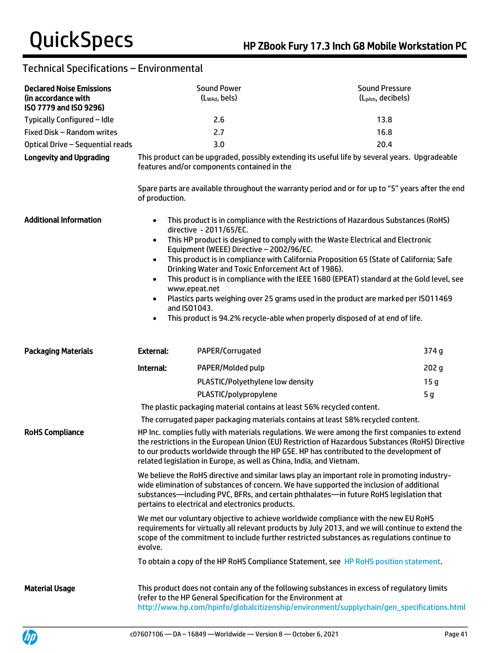| <b>Declared Noise Emissions</b><br>(in accordance with<br>ISO 7779 and ISO 9296)                                                                                                                                                                                                                   |                                                                                                                                                                                                                                                                                                                                                                                                                                                                                                                                                                                                                                                                                                                                                                              | <b>Sound Power</b><br>(Lwad, bels)                                     | <b>Sound Pressure</b><br>(L <sub>pAm</sub> , decibels)                                                                                                                                              |  |
|----------------------------------------------------------------------------------------------------------------------------------------------------------------------------------------------------------------------------------------------------------------------------------------------------|------------------------------------------------------------------------------------------------------------------------------------------------------------------------------------------------------------------------------------------------------------------------------------------------------------------------------------------------------------------------------------------------------------------------------------------------------------------------------------------------------------------------------------------------------------------------------------------------------------------------------------------------------------------------------------------------------------------------------------------------------------------------------|------------------------------------------------------------------------|-----------------------------------------------------------------------------------------------------------------------------------------------------------------------------------------------------|--|
| Typically Configured - Idle                                                                                                                                                                                                                                                                        |                                                                                                                                                                                                                                                                                                                                                                                                                                                                                                                                                                                                                                                                                                                                                                              | 2.6                                                                    | 13.8                                                                                                                                                                                                |  |
| Fixed Disk - Random writes                                                                                                                                                                                                                                                                         |                                                                                                                                                                                                                                                                                                                                                                                                                                                                                                                                                                                                                                                                                                                                                                              | 2.7                                                                    | 16.8                                                                                                                                                                                                |  |
| Optical Drive - Sequential reads                                                                                                                                                                                                                                                                   |                                                                                                                                                                                                                                                                                                                                                                                                                                                                                                                                                                                                                                                                                                                                                                              | 3.0                                                                    | 20.4                                                                                                                                                                                                |  |
| <b>Longevity and Upgrading</b>                                                                                                                                                                                                                                                                     | of production.                                                                                                                                                                                                                                                                                                                                                                                                                                                                                                                                                                                                                                                                                                                                                               | features and/or components contained in the                            | This product can be upgraded, possibly extending its useful life by several years. Upgradeable<br>Spare parts are available throughout the warranty period and or for up to "5" years after the end |  |
| <b>Additional Information</b>                                                                                                                                                                                                                                                                      | This product is in compliance with the Restrictions of Hazardous Substances (RoHS)<br>$\bullet$<br>directive - 2011/65/EC.<br>This HP product is designed to comply with the Waste Electrical and Electronic<br>$\bullet$<br>Equipment (WEEE) Directive - 2002/96/EC.<br>This product is in compliance with California Proposition 65 (State of California; Safe<br>$\bullet$<br>Drinking Water and Toxic Enforcement Act of 1986).<br>This product is in compliance with the IEEE 1680 (EPEAT) standard at the Gold level, see<br>$\bullet$<br>www.epeat.net<br>Plastics parts weighing over 25 grams used in the product are marked per ISO11469<br>$\bullet$<br>and ISO1043.<br>This product is 94.2% recycle-able when properly disposed of at end of life.<br>$\bullet$ |                                                                        |                                                                                                                                                                                                     |  |
| <b>Packaging Materials</b>                                                                                                                                                                                                                                                                         | <b>External:</b>                                                                                                                                                                                                                                                                                                                                                                                                                                                                                                                                                                                                                                                                                                                                                             | PAPER/Corrugated                                                       | 374 g                                                                                                                                                                                               |  |
|                                                                                                                                                                                                                                                                                                    | Internal:                                                                                                                                                                                                                                                                                                                                                                                                                                                                                                                                                                                                                                                                                                                                                                    | PAPER/Molded pulp                                                      | 202 g                                                                                                                                                                                               |  |
|                                                                                                                                                                                                                                                                                                    |                                                                                                                                                                                                                                                                                                                                                                                                                                                                                                                                                                                                                                                                                                                                                                              | PLASTIC/Polyethylene low density                                       | 15g                                                                                                                                                                                                 |  |
|                                                                                                                                                                                                                                                                                                    |                                                                                                                                                                                                                                                                                                                                                                                                                                                                                                                                                                                                                                                                                                                                                                              | PLASTIC/polypropylene                                                  | 5 <sub>g</sub>                                                                                                                                                                                      |  |
|                                                                                                                                                                                                                                                                                                    |                                                                                                                                                                                                                                                                                                                                                                                                                                                                                                                                                                                                                                                                                                                                                                              | The plastic packaging material contains at least 56% recycled content. |                                                                                                                                                                                                     |  |
|                                                                                                                                                                                                                                                                                                    |                                                                                                                                                                                                                                                                                                                                                                                                                                                                                                                                                                                                                                                                                                                                                                              |                                                                        | The corrugated paper packaging materials contains at least 58% recycled content.                                                                                                                    |  |
| <b>RoHS Compliance</b>                                                                                                                                                                                                                                                                             | HP Inc. complies fully with materials regulations. We were among the first companies to extend<br>the restrictions in the European Union (EU) Restriction of Hazardous Substances (RoHS) Directive<br>to our products worldwide through the HP GSE. HP has contributed to the development of<br>related legislation in Europe, as well as China, India, and Vietnam.                                                                                                                                                                                                                                                                                                                                                                                                         |                                                                        |                                                                                                                                                                                                     |  |
|                                                                                                                                                                                                                                                                                                    | We believe the RoHS directive and similar laws play an important role in promoting industry-<br>wide elimination of substances of concern. We have supported the inclusion of additional<br>substances—including PVC, BFRs, and certain phthalates—in future RoHS legislation that<br>pertains to electrical and electronics products.                                                                                                                                                                                                                                                                                                                                                                                                                                       |                                                                        |                                                                                                                                                                                                     |  |
| We met our voluntary objective to achieve worldwide compliance with the new EU RoHS<br>requirements for virtually all relevant products by July 2013, and we will continue to extend the<br>scope of the commitment to include further restricted substances as regulations continue to<br>evolve. |                                                                                                                                                                                                                                                                                                                                                                                                                                                                                                                                                                                                                                                                                                                                                                              |                                                                        |                                                                                                                                                                                                     |  |
|                                                                                                                                                                                                                                                                                                    |                                                                                                                                                                                                                                                                                                                                                                                                                                                                                                                                                                                                                                                                                                                                                                              |                                                                        | To obtain a copy of the HP RoHS Compliance Statement, see HP RoHS position statement.                                                                                                               |  |
| <b>Material Usage</b>                                                                                                                                                                                                                                                                              |                                                                                                                                                                                                                                                                                                                                                                                                                                                                                                                                                                                                                                                                                                                                                                              | (refer to the HP General Specification for the Environment at          | This product does not contain any of the following substances in excess of regulatory limits<br>http://www.hp.com/hpinfo/globalcitizenship/environment/supplychain/gen_specifications.html          |  |

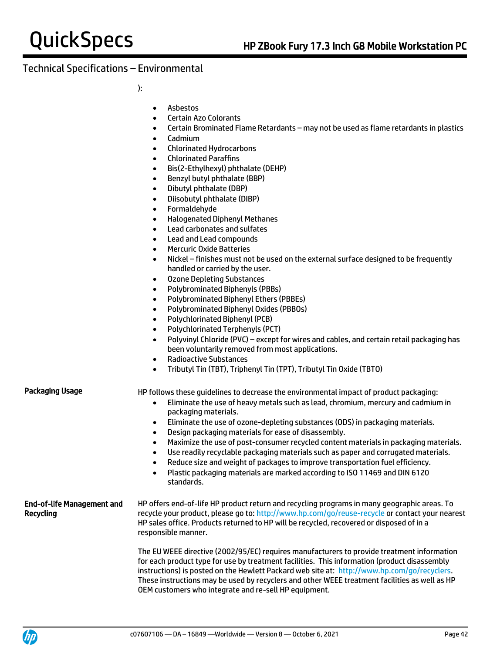):

- Asbestos
- Certain Azo Colorants
- Certain Brominated Flame Retardants may not be used as flame retardants in plastics
- Cadmium
- Chlorinated Hydrocarbons
- Chlorinated Paraffins
- Bis(2-Ethylhexyl) phthalate (DEHP)
- Benzyl butyl phthalate (BBP)
- Dibutyl phthalate (DBP)
- Diisobutyl phthalate (DIBP)
- Formaldehyde
- Halogenated Diphenyl Methanes
- Lead carbonates and sulfates
- Lead and Lead compounds
- Mercuric Oxide Batteries
- Nickel finishes must not be used on the external surface designed to be frequently handled or carried by the user.
- Ozone Depleting Substances
- Polybrominated Biphenyls (PBBs)
- Polybrominated Biphenyl Ethers (PBBEs)
- Polybrominated Biphenyl Oxides (PBBOs)
- Polychlorinated Biphenyl (PCB)
- Polychlorinated Terphenyls (PCT)
- Polyvinyl Chloride (PVC) except for wires and cables, and certain retail packaging has been voluntarily removed from most applications.
- Radioactive Substances
- Tributyl Tin (TBT), Triphenyl Tin (TPT), Tributyl Tin Oxide (TBTO)

Packaging Usage HP follows these quidelines to decrease the environmental impact of product packaging:

- Eliminate the use of heavy metals such as lead, chromium, mercury and cadmium in packaging materials.
- Eliminate the use of ozone-depleting substances (ODS) in packaging materials.
- Design packaging materials for ease of disassembly.
- Maximize the use of post-consumer recycled content materials in packaging materials.
- Use readily recyclable packaging materials such as paper and corrugated materials.
- Reduce size and weight of packages to improve transportation fuel efficiency.
- Plastic packaging materials are marked according to ISO 11469 and DIN 6120 standards.

### End-of-life Management and Recycling HP offers end-of-life HP product return and recycling programs in many geographic areas. To recycle your product, please go to:<http://www.hp.com/go/reuse-recycle> or contact your nearest HP sales office. Products returned to HP will be recycled, recovered or disposed of in a responsible manner.

The EU WEEE directive (2002/95/EC) requires manufacturers to provide treatment information for each product type for use by treatment facilities. This information (product disassembly instructions) is posted on the Hewlett Packard web site at: [http://www.hp.com/go/recyclers.](http://www.hp.com/go/recyclers) These instructions may be used by recyclers and other WEEE treatment facilities as well as HP OEM customers who integrate and re-sell HP equipment.

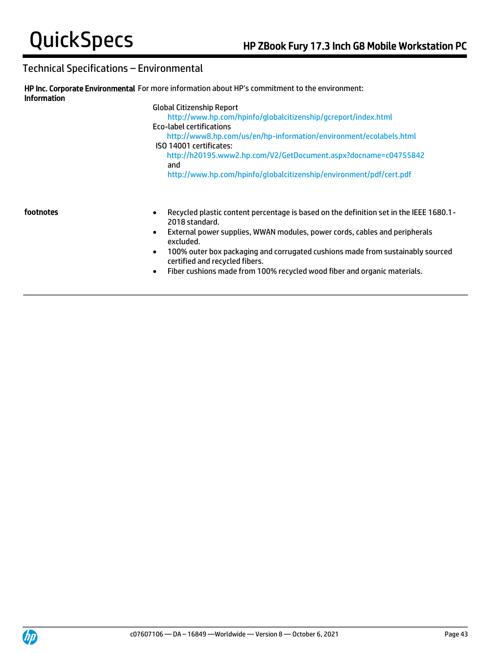| <b>Information</b> | HP Inc. Corporate Environmental For more information about HP's commitment to the environment:                         |
|--------------------|------------------------------------------------------------------------------------------------------------------------|
|                    | <b>Global Citizenship Report</b>                                                                                       |
|                    | http://www.hp.com/hpinfo/globalcitizenship/gcreport/index.html                                                         |
|                    | <b>Eco-label certifications</b>                                                                                        |
|                    | http://www8.hp.com/us/en/hp-information/environment/ecolabels.html<br>ISO 14001 certificates:                          |
|                    | http://h20195.www2.hp.com/V2/GetDocument.aspx?docname=c04755842<br>and                                                 |
|                    | http://www.hp.com/hpinfo/globalcitizenship/environment/pdf/cert.pdf                                                    |
| footnotes          | Recycled plastic content percentage is based on the definition set in the IEEE 1680.1 -<br>$\bullet$<br>2018 standard. |
|                    | External power supplies, WWAN modules, power cords, cables and peripherals<br>$\bullet$<br>excluded.                   |

- 100% outer box packaging and corrugated cushions made from sustainably sourced certified and recycled fibers.
- Fiber cushions made from 100% recycled wood fiber and organic materials.

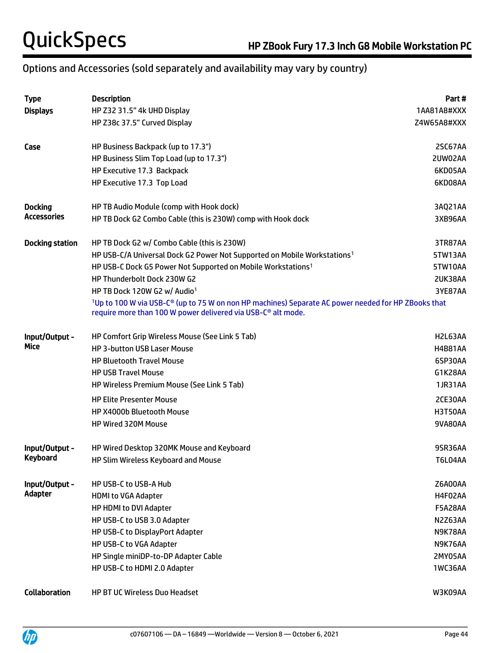# Options and Accessories (sold separately and availability may vary by country)

| <b>Type</b>            | <b>Description</b>                                                                                                                                                                          | Part #         |
|------------------------|---------------------------------------------------------------------------------------------------------------------------------------------------------------------------------------------|----------------|
| <b>Displays</b>        | HP Z32 31.5" 4k UHD Display                                                                                                                                                                 | 1AA81A8#XXX    |
|                        | HP Z38c 37.5" Curved Display                                                                                                                                                                | Z4W65A8#XXX    |
| Case                   | HP Business Backpack (up to 17.3")                                                                                                                                                          | 2SC67AA        |
|                        | HP Business Slim Top Load (up to 17.3")                                                                                                                                                     | 2UW02AA        |
|                        | HP Executive 17.3 Backpack                                                                                                                                                                  | 6KD05AA        |
|                        | HP Executive 17.3 Top Load                                                                                                                                                                  | 6KD08AA        |
| <b>Docking</b>         | HP TB Audio Module (comp with Hook dock)                                                                                                                                                    | 3AQ21AA        |
| <b>Accessories</b>     | HP TB Dock G2 Combo Cable (this is 230W) comp with Hook dock                                                                                                                                | 3XB96AA        |
| <b>Docking station</b> | HP TB Dock G2 w/ Combo Cable (this is 230W)                                                                                                                                                 | 3TR87AA        |
|                        | HP USB-C/A Universal Dock G2 Power Not Supported on Mobile Workstations <sup>1</sup>                                                                                                        | 5TW13AA        |
|                        | HP USB-C Dock G5 Power Not Supported on Mobile Workstations <sup>1</sup>                                                                                                                    | 5TW10AA        |
|                        | HP Thunderbolt Dock 230W G2                                                                                                                                                                 | 2UK38AA        |
|                        | HP TB Dock 120W G2 w/ Audio <sup>1</sup>                                                                                                                                                    | 3YE87AA        |
|                        | <sup>1</sup> Up to 100 W via USB-C® (up to 75 W on non HP machines) Separate AC power needed for HP ZBooks that<br>require more than 100 W power delivered via USB-C <sup>®</sup> alt mode. |                |
| Input/Output -         | HP Comfort Grip Wireless Mouse (See Link 5 Tab)                                                                                                                                             | H2L63AA        |
| Mice                   | <b>HP 3-button USB Laser Mouse</b>                                                                                                                                                          | <b>H4B81AA</b> |
|                        | <b>HP Bluetooth Travel Mouse</b>                                                                                                                                                            | 6SP30AA        |
|                        | <b>HP USB Travel Mouse</b>                                                                                                                                                                  | G1K28AA        |
|                        | HP Wireless Premium Mouse (See Link 5 Tab)                                                                                                                                                  | 1JR31AA        |
|                        | <b>HP Elite Presenter Mouse</b>                                                                                                                                                             | 2CE30AA        |
|                        | <b>HP X4000b Bluetooth Mouse</b>                                                                                                                                                            | <b>H3T50AA</b> |
|                        | HP Wired 320M Mouse                                                                                                                                                                         | 9VA80AA        |
| Input/Output -         | HP Wired Desktop 320MK Mouse and Keyboard                                                                                                                                                   | 9SR36AA        |
| Keyboard               | HP Slim Wireless Keyboard and Mouse                                                                                                                                                         | <b>T6L04AA</b> |
| Input/Output -         | HP USB-C to USB-A Hub                                                                                                                                                                       | Z6A00AA        |
| Adapter                | <b>HDMI to VGA Adapter</b>                                                                                                                                                                  | H4F02AA        |
|                        | HP HDMI to DVI Adapter                                                                                                                                                                      | <b>F5A28AA</b> |
|                        | HP USB-C to USB 3.0 Adapter                                                                                                                                                                 | N2Z63AA        |
|                        | HP USB-C to DisplayPort Adapter                                                                                                                                                             | N9K78AA        |
|                        | HP USB-C to VGA Adapter                                                                                                                                                                     | N9K76AA        |
|                        | HP Single miniDP-to-DP Adapter Cable                                                                                                                                                        | 2MY05AA        |
|                        | HP USB-C to HDMI 2.0 Adapter                                                                                                                                                                | 1WC36AA        |
| <b>Collaboration</b>   | HP BT UC Wireless Duo Headset                                                                                                                                                               | W3K09AA        |

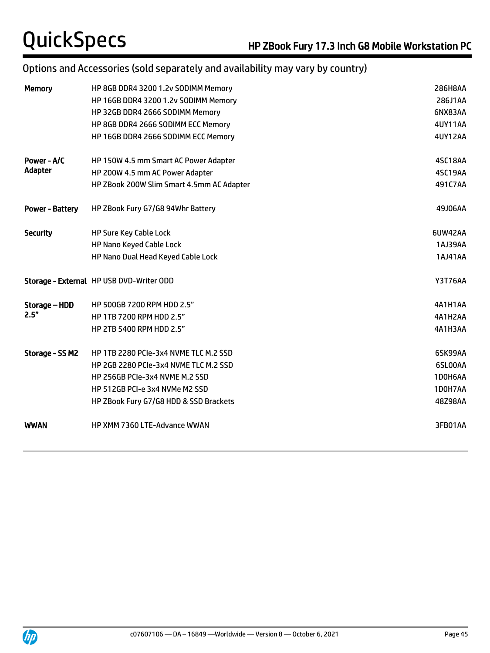# Options and Accessories (sold separately and availability may vary by country)

| <b>Memory</b>          | HP 8GB DDR4 3200 1.2v SODIMM Memory       | 286H8AA        |
|------------------------|-------------------------------------------|----------------|
|                        | HP 16GB DDR4 3200 1.2v SODIMM Memory      | 286J1AA        |
|                        | HP 32GB DDR4 2666 SODIMM Memory           | 6NX83AA        |
|                        | HP 8GB DDR4 2666 SODIMM ECC Memory        | 4UY11AA        |
|                        | HP 16GB DDR4 2666 SODIMM ECC Memory       | <b>4UY12AA</b> |
| Power - A/C            | HP 150W 4.5 mm Smart AC Power Adapter     | 4SC18AA        |
| Adapter                | HP 200W 4.5 mm AC Power Adapter           | 4SC19AA        |
|                        | HP ZBook 200W Slim Smart 4.5mm AC Adapter | 491C7AA        |
| <b>Power - Battery</b> | HP ZBook Fury G7/G8 94Whr Battery         | 49J06AA        |
| <b>Security</b>        | HP Sure Key Cable Lock                    | 6UW42AA        |
|                        | HP Nano Keyed Cable Lock                  | AAPSELA1       |
|                        | HP Nano Dual Head Keyed Cable Lock        | 1AJ41AA        |
|                        | Storage - External HP USB DVD-Writer ODD  | <b>Y3T76AA</b> |
| Storage - HDD          | HP 500GB 7200 RPM HDD 2.5"                | 4A1H1AA        |
| 2.5"                   | HP 1TB 7200 RPM HDD 2.5"                  | 4A1H2AA        |
|                        | HP 2TB 5400 RPM HDD 2.5"                  | 4A1H3AA        |
| Storage - SS M2        | HP 1TB 2280 PCIe-3x4 NVME TLC M.2 SSD     | 6SK99AA        |
|                        | HP 2GB 2280 PCIe-3x4 NVME TLC M.2 SSD     | 6SL00AA        |
|                        | HP 256GB PCIe-3x4 NVME M.2 SSD            | 1D0H6AA        |
|                        | HP 512GB PCI-e 3x4 NVMe M2 SSD            | 1D0H7AA        |
|                        | HP ZBook Fury G7/G8 HDD & SSD Brackets    | 48Z98AA        |
| <b>WWAN</b>            | HP XMM 7360 LTE-Advance WWAN              | 3FB01AA        |

j